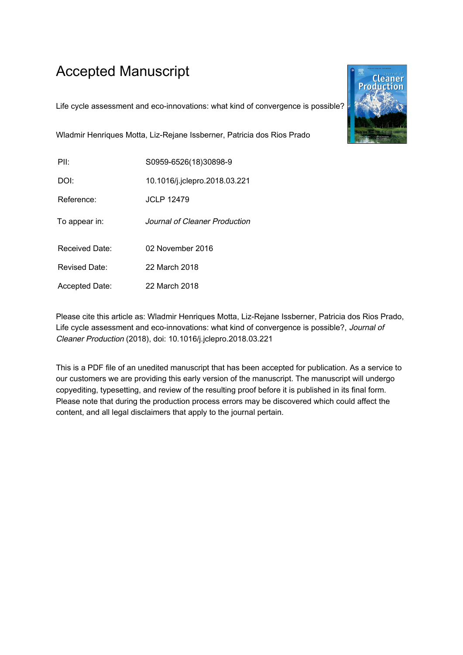# Accepted Manuscript

Life cycle assessment and eco-innovations: what kind of convergence is possible?



Wladmir Henriques Motta, Liz-Rejane Issberner, Patricia dos Rios Prado

| P⊪             | S0959-6526(18)30898-9         |
|----------------|-------------------------------|
| DOI:           | 10.1016/j.jclepro.2018.03.221 |
| Reference:     | <b>JCLP 12479</b>             |
| To appear in:  | Journal of Cleaner Production |
| Received Date: | 02 November 2016              |
| Revised Date:  | 22 March 2018                 |
| Accepted Date: | 22 March 2018                 |

Please cite this article as: Wladmir Henriques Motta, Liz-Rejane Issberner, Patricia dos Rios Prado, Life cycle assessment and eco-innovations: what kind of convergence is possible?, Journal of Cleaner Production (2018), doi: 10.1016/j.jclepro.2018.03.221

This is a PDF file of an unedited manuscript that has been accepted for publication. As a service to our customers we are providing this early version of the manuscript. The manuscript will undergo copyediting, typesetting, and review of the resulting proof before it is published in its final form. Please note that during the production process errors may be discovered which could affect the content, and all legal disclaimers that apply to the journal pertain.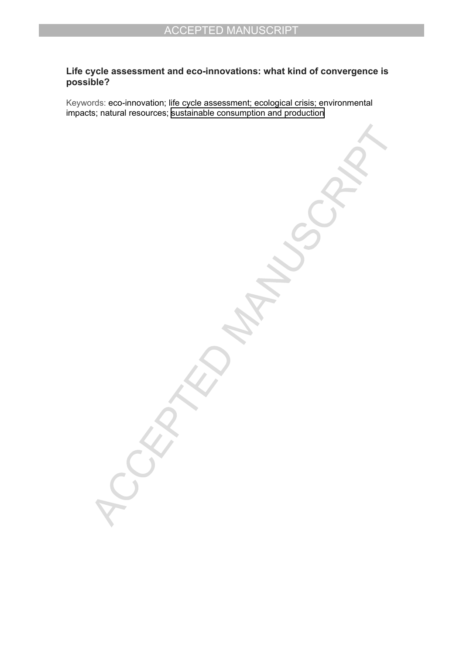# **Life cycle assessment and eco-innovations: what kind of convergence is possible?**

Keywords: eco-innovation; life cycle assessment; ecological crisis; environmental impacts; natural resources; [sustainable consumption and production](http://www.un.org/sustainabledevelopment/sustainable-consumption-production/)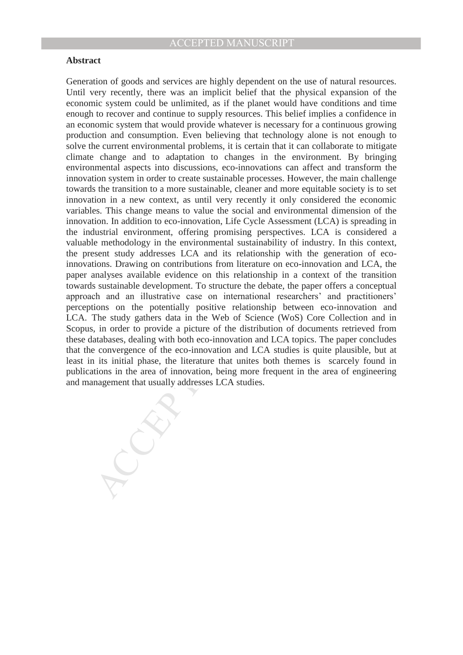### **Abstract**

ion and consumption. Even bettev<br>more and consumption. Even bettev included we carrent environmental problems, it is certain that it can collaborate to minigate<br>change and to adaptation to changes in the environment. By br Generation of goods and services are highly dependent on the use of natural resources. Until very recently, there was an implicit belief that the physical expansion of the economic system could be unlimited, as if the planet would have conditions and time enough to recover and continue to supply resources. This belief implies a confidence in an economic system that would provide whatever is necessary for a continuous growing production and consumption. Even believing that technology alone is not enough to solve the current environmental problems, it is certain that it can collaborate to mitigate climate change and to adaptation to changes in the environment. By bringing environmental aspects into discussions, eco-innovations can affect and transform the innovation system in order to create sustainable processes. However, the main challenge towards the transition to a more sustainable, cleaner and more equitable society is to set innovation in a new context, as until very recently it only considered the economic variables. This change means to value the social and environmental dimension of the innovation. In addition to eco-innovation, Life Cycle Assessment (LCA) is spreading in the industrial environment, offering promising perspectives. LCA is considered a valuable methodology in the environmental sustainability of industry. In this context, the present study addresses LCA and its relationship with the generation of ecoinnovations. Drawing on contributions from literature on eco-innovation and LCA, the paper analyses available evidence on this relationship in a context of the transition towards sustainable development. To structure the debate, the paper offers a conceptual approach and an illustrative case on international researchers' and practitioners' perceptions on the potentially positive relationship between eco-innovation and LCA. The study gathers data in the Web of Science (WoS) Core Collection and in Scopus, in order to provide a picture of the distribution of documents retrieved from these databases, dealing with both eco-innovation and LCA topics. The paper concludes that the convergence of the eco-innovation and LCA studies is quite plausible, but at least in its initial phase, the literature that unites both themes is scarcely found in publications in the area of innovation, being more frequent in the area of engineering and management that usually addresses LCA studies.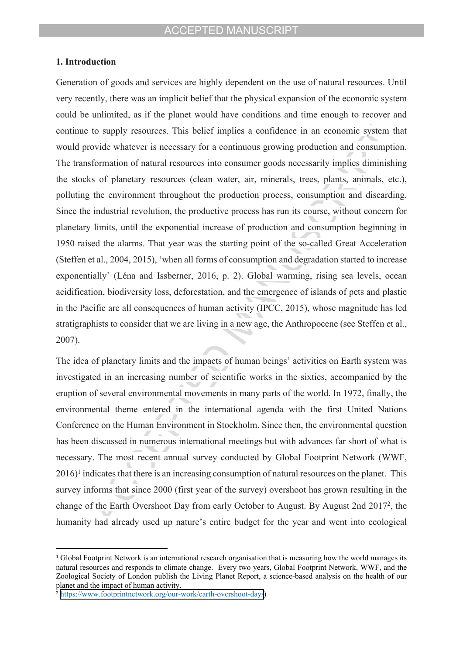### **1. Introduction**

Generation of goods and services are highly dependent on the use of natural resources. Until very recently, there was an implicit belief that the physical expansion of the economic system could be unlimited, as if the planet would have conditions and time enough to recover and continue to supply resources. This belief implies a confidence in an economic system that would provide whatever is necessary for a continuous growing production and consumption. The transformation of natural resources into consumer goods necessarily implies diminishing the stocks of planetary resources (clean water, air, minerals, trees, plants, animals, etc.), polluting the environment throughout the production process, consumption and discarding. Since the industrial revolution, the productive process has run its course, without concern for planetary limits, until the exponential increase of production and consumption beginning in 1950 raised the alarms. That year was the starting point of the so-called Great Acceleration (Steffen et al., 2004, 2015), ëwhen all forms of consumption and degradation started to increase exponentially' (Léna and Issberner, 2016, p. 2). Global warming, rising sea levels, ocean acidification, biodiversity loss, deforestation, and the emergence of islands of pets and plastic in the Pacific are all consequences of human activity (IPCC, 2015), whose magnitude has led stratigraphists to consider that we are living in a new age, the Anthropocene (see Steffen et al., 2007).

The idea of planetary limits and the impacts of human beings' activities on Earth system was investigated in an increasing number of scientific works in the sixties, accompanied by the eruption of several environmental movements in many parts of the world. In 1972, finally, the environmental theme entered in the international agenda with the first United Nations Conference on the Human Environment in Stockholm. Since then, the environmental question has been discussed in numerous international meetings but with advances far short of what is necessary. The most recent annual survey conducted by Global Footprint Network (WWF, 2016)<sup>1</sup> indicates that there is an increasing consumption of natural resources on the planet. This survey informs that since 2000 (first year of the survey) overshoot has grown resulting in the change of the Earth Overshoot Day from early October to August. By August 2nd 2017<sup>2</sup> , the humanity had already used up nature's entire budget for the year and went into ecological

<sup>&</sup>lt;sup>1</sup> Global Footprint Network is an international research organisation that is measuring how the world manages its natural resources and responds to climate change. Every two years, Global Footprint Network, WWF, and the Zoological Society of London publish the Living Planet Report, a science-based analysis on the health of our planet and the impact of human activity.

<sup>&</sup>lt;sup>2</sup> <https://www.footprintnetwork.org/our-work/earth-overshoot-day/>)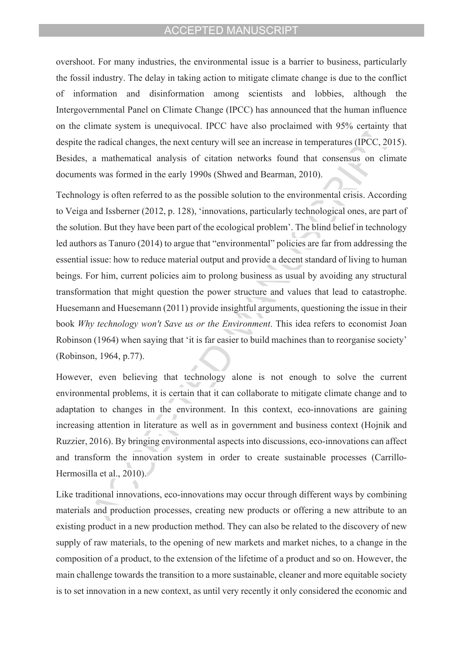overshoot. For many industries, the environmental issue is a barrier to business, particularly the fossil industry. The delay in taking action to mitigate climate change is due to the conflict of information and disinformation among scientists and lobbies, although the Intergovernmental Panel on Climate Change (IPCC) has announced that the human influence on the climate system is unequivocal. IPCC have also proclaimed with 95% certainty that despite the radical changes, the next century will see an increase in temperatures (IPCC, 2015). Besides, a mathematical analysis of citation networks found that consensus on climate documents was formed in the early 1990s (Shwed and Bearman, 2010).

Technology is often referred to as the possible solution to the environmental crisis. According to Veiga and Issberner (2012, p. 128), ëinnovations, particularly technological ones, are part of the solution. But they have been part of the ecological problem<sup>3</sup>. The blind belief in technology led authors as Tanuro (2014) to argue that "environmental" policies are far from addressing the essential issue: how to reduce material output and provide a decent standard of living to human beings. For him, current policies aim to prolong business as usual by avoiding any structural transformation that might question the power structure and values that lead to catastrophe. Huesemann and Huesemann (2011) provide insightful arguments, questioning the issue in their book *Why technology won't Save us or the Environment*. This idea refers to economist Joan Robinson (1964) when saying that 'it is far easier to build machines than to reorganise society' (Robinson, 1964, p.77).

However, even believing that technology alone is not enough to solve the current environmental problems, it is certain that it can collaborate to mitigate climate change and to adaptation to changes in the environment. In this context, eco-innovations are gaining increasing attention in literature as well as in government and business context (Hojnik and Ruzzier, 2016). By bringing environmental aspects into discussions, eco-innovations can affect and transform the innovation system in order to create sustainable processes (Carrillo-Hermosilla et al., 2010).

Like traditional innovations, eco-innovations may occur through different ways by combining materials and production processes, creating new products or offering a new attribute to an existing product in a new production method. They can also be related to the discovery of new supply of raw materials, to the opening of new markets and market niches, to a change in the composition of a product, to the extension of the lifetime of a product and so on. However, the main challenge towards the transition to a more sustainable, cleaner and more equitable society is to set innovation in a new context, as until very recently it only considered the economic and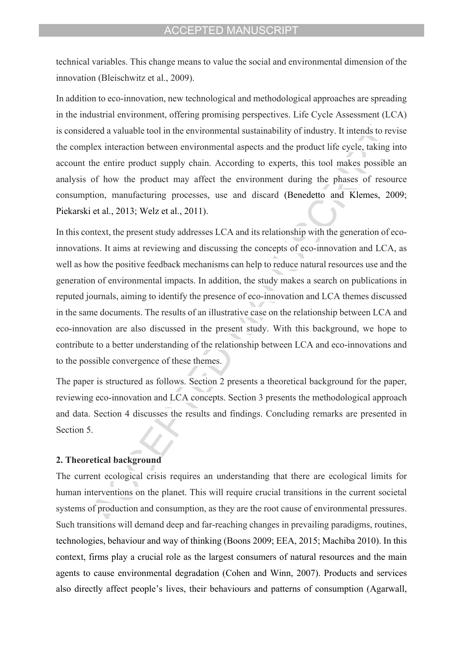technical variables. This change means to value the social and environmental dimension of the innovation (Bleischwitz et al., 2009).

In addition to eco-innovation, new technological and methodological approaches are spreading in the industrial environment, offering promising perspectives. Life Cycle Assessment (LCA) is considered a valuable tool in the environmental sustainability of industry. It intends to revise the complex interaction between environmental aspects and the product life cycle, taking into account the entire product supply chain. According to experts, this tool makes possible an analysis of how the product may affect the environment during the phases of resource consumption, manufacturing processes, use and discard (Benedetto and Klemes, 2009; Piekarski et al., 2013; Welz et al., 2011).

In this context, the present study addresses LCA and its relationship with the generation of ecoinnovations. It aims at reviewing and discussing the concepts of eco-innovation and LCA, as well as how the positive feedback mechanisms can help to reduce natural resources use and the generation of environmental impacts. In addition, the study makes a search on publications in reputed journals, aiming to identify the presence of eco-innovation and LCA themes discussed in the same documents. The results of an illustrative case on the relationship between LCA and eco-innovation are also discussed in the present study. With this background, we hope to contribute to a better understanding of the relationship between LCA and eco-innovations and to the possible convergence of these themes.

The paper is structured as follows. Section 2 presents a theoretical background for the paper, reviewing eco-innovation and LCA concepts. Section 3 presents the methodological approach and data. Section 4 discusses the results and findings. Concluding remarks are presented in Section 5.

#### **2. Theoretical background**

The current ecological crisis requires an understanding that there are ecological limits for human interventions on the planet. This will require crucial transitions in the current societal systems of production and consumption, as they are the root cause of environmental pressures. Such transitions will demand deep and far-reaching changes in prevailing paradigms, routines, technologies, behaviour and way of thinking (Boons 2009; EEA, 2015; Machiba 2010). In this context, firms play a crucial role as the largest consumers of natural resources and the main agents to cause environmental degradation (Cohen and Winn, 2007). Products and services also directly affect people's lives, their behaviours and patterns of consumption (Agarwall,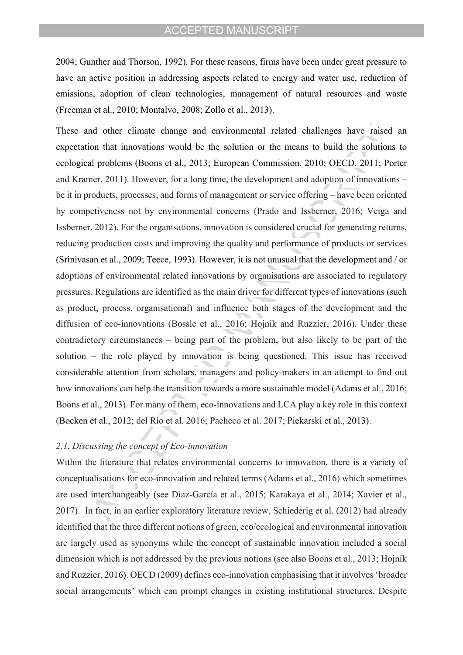2004; Gunther and Thorson, 1992). For these reasons, firms have been under great pressure to have an active position in addressing aspects related to energy and water use, reduction of emissions, adoption of clean technologies, management of natural resources and waste (Freeman et al., 2010; Montalvo, 2008; Zollo et al., 2013).

These and other climate change and environmental related challenges have raised an expectation that innovations would be the solution or the means to build the solutions to ecological problems (Boons et al., 2013; European Commission, 2010; OECD, 2011; Porter and Kramer, 2011). However, for a long time, the development and adoption of innovations  $$ be it in products, processes, and forms of management or service offering – have been oriented by competiveness not by environmental concerns (Prado and Issberner, 2016; Veiga and Issberner, 2012). For the organisations, innovation is considered crucial for generating returns, reducing production costs and improving the quality and performance of products or services (Srinivasan et al., 2009; Teece, 1993). However, it is not unusual that the development and / or adoptions of environmental related innovations by organisations are associated to regulatory pressures. Regulations are identified as the main driver for different types of innovations (such as product, process, organisational) and influence both stages of the development and the diffusion of eco-innovations (Bossle et al., 2016; Hojnik and Ruzzier, 2016). Under these contradictory circumstances  $-$  being part of the problem, but also likely to be part of the solution  $-$  the role played by innovation is being questioned. This issue has received considerable attention from scholars, managers and policy-makers in an attempt to find out how innovations can help the transition towards a more sustainable model (Adams et al., 2016; Boons et al., 2013). For many of them, eco-innovations and LCA play a key role in this context (Bocken et al., 2012; del RÌo et al. 2016; Pacheco et al. 2017; Piekarski et al., 2013).

### *2.1. Discussing the concept of Eco-innovation*

Within the literature that relates environmental concerns to innovation, there is a variety of conceptualisations for eco-innovation and related terms (Adams et al., 2016) which sometimes are used interchangeably (see Díaz-García et al., 2015; Karakaya et al., 2014; Xavier et al., 2017). In fact, in an earlier exploratory literature review, Schiederig et al. (2012) had already identified that the three different notions of green, eco/ecological and environmental innovation are largely used as synonyms while the concept of sustainable innovation included a social dimension which is not addressed by the previous notions (see also Boons et al., 2013; Hojnik and Ruzzier, 2016). OECD (2009) defines eco-innovation emphasising that it involves ëbroader social arrangements<sup>†</sup> which can prompt changes in existing institutional structures. Despite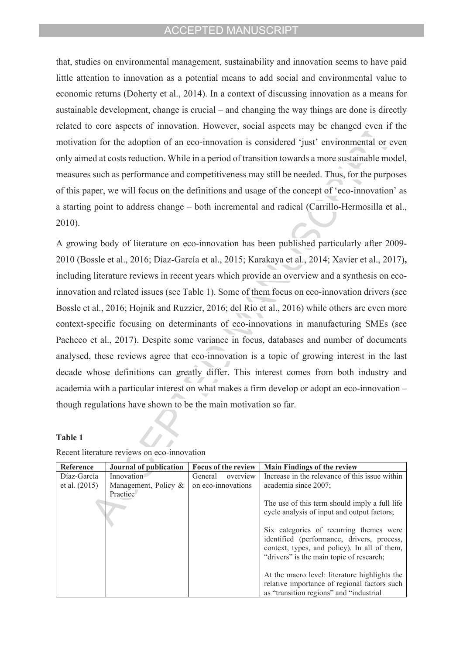that, studies on environmental management, sustainability and innovation seems to have paid little attention to innovation as a potential means to add social and environmental value to economic returns (Doherty et al., 2014). In a context of discussing innovation as a means for sustainable development, change is crucial  $-$  and changing the way things are done is directly related to core aspects of innovation. However, social aspects may be changed even if the motivation for the adoption of an eco-innovation is considered 'just' environmental or even only aimed at costs reduction. While in a period of transition towards a more sustainable model, measures such as performance and competitiveness may still be needed. Thus, for the purposes of this paper, we will focus on the definitions and usage of the concept of 'eco-innovation' as a starting point to address change – both incremental and radical (Carrillo-Hermosilla et al., 2010).

A growing body of literature on eco-innovation has been published particularly after 2009- 2010 (Bossle et al., 2016; DÌaz-GarcÌa et al., 2015; Karakaya et al., 2014; Xavier et al., 2017)**,**  including literature reviews in recent years which provide an overview and a synthesis on ecoinnovation and related issues (see Table 1). Some of them focus on eco-innovation drivers (see Bossle et al., 2016; Hojnik and Ruzzier, 2016; del Río et al., 2016) while others are even more context-specific focusing on determinants of eco-innovations in manufacturing SMEs (see Pacheco et al., 2017). Despite some variance in focus, databases and number of documents analysed, these reviews agree that eco-innovation is a topic of growing interest in the last decade whose definitions can greatly differ. This interest comes from both industry and academia with a particular interest on what makes a firm develop or adopt an eco-innovation  $$ though regulations have shown to be the main motivation so far.

#### **Table 1**

| Reference     | Journal of publication  | Focus of the review | <b>Main Findings of the review</b>             |
|---------------|-------------------------|---------------------|------------------------------------------------|
| Díaz-García   | Innovation              | General<br>overview | Increase in the relevance of this issue within |
| et al. (2015) | Management, Policy $\&$ | on eco-innovations  | academia since 2007:                           |
|               | Practice                |                     |                                                |
|               |                         |                     | The use of this term should imply a full life  |
|               |                         |                     | cycle analysis of input and output factors;    |
|               |                         |                     |                                                |
|               |                         |                     | Six categories of recurring themes were        |
|               |                         |                     | identified (performance, drivers, process,     |
|               |                         |                     | context, types, and policy). In all of them,   |
|               |                         |                     | "drivers" is the main topic of research;       |
|               |                         |                     |                                                |
|               |                         |                     | At the macro level: literature highlights the  |
|               |                         |                     | relative importance of regional factors such   |
|               |                         |                     | as "transition regions" and "industrial        |

Recent literature reviews on eco-innovation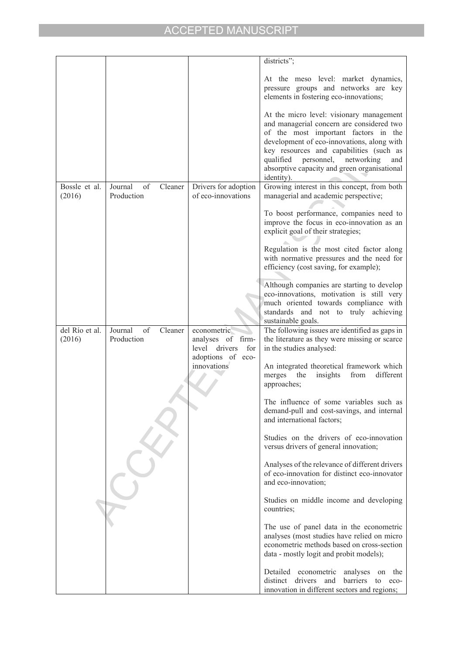|                |                          |                                  | districts";                                                                                                      |
|----------------|--------------------------|----------------------------------|------------------------------------------------------------------------------------------------------------------|
|                |                          |                                  | At the meso level: market dynamics,                                                                              |
|                |                          |                                  | pressure groups and networks are key                                                                             |
|                |                          |                                  | elements in fostering eco-innovations;                                                                           |
|                |                          |                                  | At the micro level: visionary management                                                                         |
|                |                          |                                  | and managerial concern are considered two                                                                        |
|                |                          |                                  | of the most important factors in the                                                                             |
|                |                          |                                  | development of eco-innovations, along with                                                                       |
|                |                          |                                  | key resources and capabilities (such as<br>qualified personnel, networking<br>and                                |
|                |                          |                                  | absorptive capacity and green organisational                                                                     |
|                |                          |                                  | identity).                                                                                                       |
| Bossle et al.  | Journal<br>of<br>Cleaner | Drivers for adoption             | Growing interest in this concept, from both                                                                      |
| (2016)         | Production               | of eco-innovations               | managerial and academic perspective;                                                                             |
|                |                          |                                  | To boost performance, companies need to                                                                          |
|                |                          |                                  | improve the focus in eco-innovation as an                                                                        |
|                |                          |                                  | explicit goal of their strategies;                                                                               |
|                |                          |                                  | Regulation is the most cited factor along                                                                        |
|                |                          |                                  | with normative pressures and the need for                                                                        |
|                |                          |                                  | efficiency (cost saving, for example);                                                                           |
|                |                          |                                  | Although companies are starting to develop                                                                       |
|                |                          |                                  | eco-innovations, motivation is still very                                                                        |
|                |                          |                                  | much oriented towards compliance with                                                                            |
|                |                          |                                  | standards and not to truly achieving<br>sustainable goals.                                                       |
| del Río et al. | Journal<br>of<br>Cleaner | econometric                      | The following issues are identified as gaps in                                                                   |
| (2016)         | Production               | analyses of firm-                | the literature as they were missing or scarce<br>in the studies analysed:                                        |
|                |                          | level drivers<br>for             |                                                                                                                  |
|                |                          |                                  |                                                                                                                  |
|                |                          | adoptions of eco-<br>innovations | An integrated theoretical framework which                                                                        |
|                |                          |                                  | the<br>insights<br>from<br>different<br>merges                                                                   |
|                |                          |                                  | approaches;                                                                                                      |
|                |                          |                                  | The influence of some variables such as                                                                          |
|                |                          |                                  | demand-pull and cost-savings, and internal                                                                       |
|                |                          |                                  | and international factors;                                                                                       |
|                |                          |                                  | Studies on the drivers of eco-innovation                                                                         |
|                |                          |                                  | versus drivers of general innovation;                                                                            |
|                |                          |                                  |                                                                                                                  |
|                |                          |                                  | Analyses of the relevance of different drivers<br>of eco-innovation for distinct eco-innovator                   |
|                |                          |                                  | and eco-innovation;                                                                                              |
|                |                          |                                  |                                                                                                                  |
|                |                          |                                  | Studies on middle income and developing<br>countries;                                                            |
|                |                          |                                  |                                                                                                                  |
|                |                          |                                  | The use of panel data in the econometric<br>analyses (most studies have relied on micro                          |
|                |                          |                                  | econometric methods based on cross-section                                                                       |
|                |                          |                                  | data - mostly logit and probit models);                                                                          |
|                |                          |                                  | Detailed econometric<br>the<br>on                                                                                |
|                |                          |                                  | analyses<br>distinct<br>drivers<br>and<br>barriers<br>to<br>eco-<br>innovation in different sectors and regions; |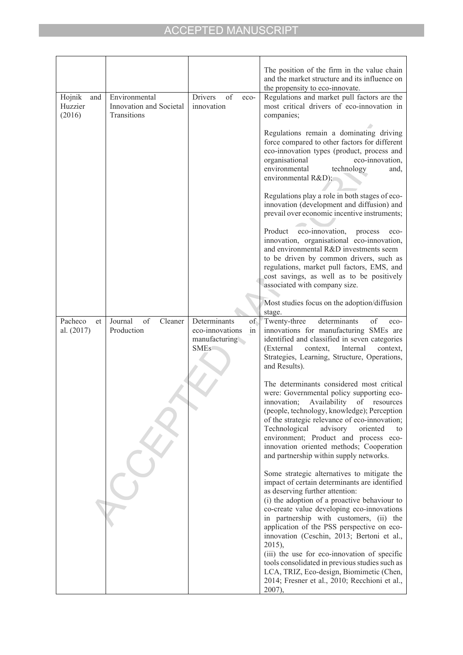|                                    |                                                         |                                                                              | The position of the firm in the value chain<br>and the market structure and its influence on<br>the propensity to eco-innovate.                                                                                                                                                                                                                                                                                                                                                                                                                                                            |
|------------------------------------|---------------------------------------------------------|------------------------------------------------------------------------------|--------------------------------------------------------------------------------------------------------------------------------------------------------------------------------------------------------------------------------------------------------------------------------------------------------------------------------------------------------------------------------------------------------------------------------------------------------------------------------------------------------------------------------------------------------------------------------------------|
| Hojnik<br>and<br>Huzzier<br>(2016) | Environmental<br>Innovation and Societal<br>Transitions | of<br>Drivers<br>eco-<br>innovation                                          | Regulations and market pull factors are the<br>most critical drivers of eco-innovation in<br>companies;                                                                                                                                                                                                                                                                                                                                                                                                                                                                                    |
|                                    |                                                         |                                                                              | Regulations remain a dominating driving<br>force compared to other factors for different<br>eco-innovation types (product, process and<br>eco-innovation,<br>organisational<br>environmental<br>technology<br>and.<br>environmental R&D);                                                                                                                                                                                                                                                                                                                                                  |
|                                    |                                                         |                                                                              | Regulations play a role in both stages of eco-<br>innovation (development and diffusion) and<br>prevail over economic incentive instruments;                                                                                                                                                                                                                                                                                                                                                                                                                                               |
|                                    |                                                         |                                                                              | eco-innovation,<br>Product<br>process<br>eco-<br>innovation, organisational eco-innovation,<br>and environmental R&D investments seem<br>to be driven by common drivers, such as<br>regulations, market pull factors, EMS, and<br>cost savings, as well as to be positively<br>associated with company size.                                                                                                                                                                                                                                                                               |
|                                    |                                                         |                                                                              | Most studies focus on the adoption/diffusion<br>stage.                                                                                                                                                                                                                                                                                                                                                                                                                                                                                                                                     |
| Pacheco<br>et<br>al. (2017)        | Journal<br>of<br>Cleaner<br>Production                  | Determinants<br>of.<br>eco-innovations<br>in<br>manufacturing<br><b>SMEs</b> | determinants<br>of<br>Twenty-three<br>eco-<br>innovations for manufacturing SMEs are<br>identified and classified in seven categories<br>(External<br>context,<br>Internal<br>context,<br>Strategies, Learning, Structure, Operations,<br>and Results).                                                                                                                                                                                                                                                                                                                                    |
|                                    |                                                         |                                                                              | The determinants considered most critical<br>were: Governmental policy supporting eco-<br>innovation;<br>Availability<br>of<br>resources<br>(people, technology, knowledge); Perception<br>of the strategic relevance of eco-innovation;<br>Technological<br>advisory<br>oriented<br>to<br>environment; Product and process eco-<br>innovation oriented methods; Cooperation<br>and partnership within supply networks.                                                                                                                                                                    |
|                                    |                                                         |                                                                              | Some strategic alternatives to mitigate the<br>impact of certain determinants are identified<br>as deserving further attention:<br>(i) the adoption of a proactive behaviour to<br>co-create value developing eco-innovations<br>in partnership with customers, (ii) the<br>application of the PSS perspective on eco-<br>innovation (Ceschin, 2013; Bertoni et al.,<br>$2015$ ),<br>(iii) the use for eco-innovation of specific<br>tools consolidated in previous studies such as<br>LCA, TRIZ, Eco-design, Biomimetic (Chen,<br>2014; Fresner et al., 2010; Recchioni et al.,<br>2007), |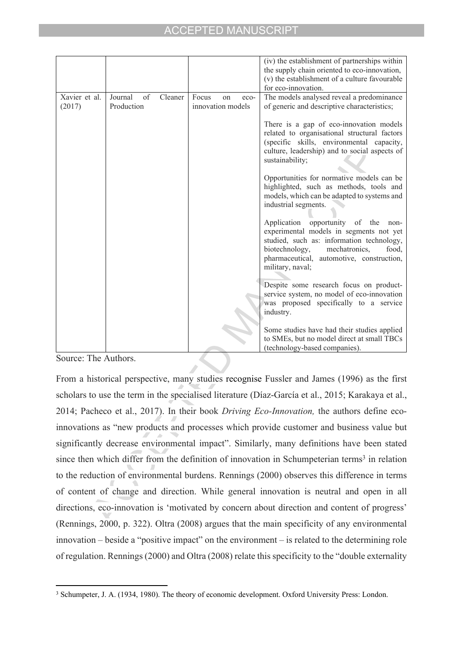|                         |                                        |                                            | (iv) the establishment of partnerships within<br>the supply chain oriented to eco-innovation,<br>(v) the establishment of a culture favourable<br>for eco-innovation.                                                                          |
|-------------------------|----------------------------------------|--------------------------------------------|------------------------------------------------------------------------------------------------------------------------------------------------------------------------------------------------------------------------------------------------|
| Xavier et al.<br>(2017) | Journal<br>of<br>Cleaner<br>Production | Focus<br>on<br>$eco-$<br>innovation models | The models analysed reveal a predominance<br>of generic and descriptive characteristics;                                                                                                                                                       |
|                         |                                        |                                            | There is a gap of eco-innovation models<br>related to organisational structural factors<br>(specific skills, environmental capacity,<br>culture, leadership) and to social aspects of<br>sustainability;                                       |
|                         |                                        |                                            | Opportunities for normative models can be<br>highlighted, such as methods, tools and<br>models, which can be adapted to systems and<br>industrial segments.                                                                                    |
|                         |                                        |                                            | Application<br>opportunity of the<br>non-<br>experimental models in segments not yet<br>studied, such as: information technology,<br>biotechnology,<br>mechatronics.<br>food,<br>pharmaceutical, automotive, construction,<br>military, naval; |
|                         |                                        |                                            | Despite some research focus on product-<br>service system, no model of eco-innovation<br>was proposed specifically to a service<br>industry.                                                                                                   |
|                         |                                        |                                            | Some studies have had their studies applied<br>to SMEs, but no model direct at small TBCs<br>(technology-based companies).                                                                                                                     |

Source: The Authors.

From a historical perspective, many studies recognise Fussler and James (1996) as the first scholars to use the term in the specialised literature (Díaz-García et al., 2015; Karakaya et al., 2014; Pacheco et al., 2017). In their book *Driving Eco-Innovation,* the authors define ecoinnovations as "new products and processes which provide customer and business value but significantly decrease environmental impact". Similarly, many definitions have been stated since then which differ from the definition of innovation in Schumpeterian terms<sup>3</sup> in relation to the reduction of environmental burdens. Rennings (2000) observes this difference in terms of content of change and direction. While general innovation is neutral and open in all directions, eco-innovation is 'motivated by concern about direction and content of progress' (Rennings, 2000, p. 322). Oltra (2008) argues that the main specificity of any environmental  $innovation - beside a "positive impact" on the environment - is related to the determining role$ of regulation. Rennings (2000) and Oltra (2008) relate this specificity to the "double externality

<sup>3</sup> Schumpeter, J. A. (1934, 1980). The theory of economic development. Oxford University Press: London.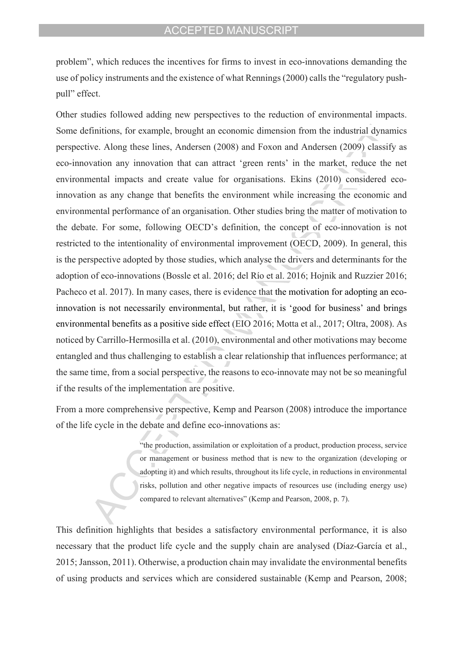problemî, which reduces the incentives for firms to invest in eco-innovations demanding the use of policy instruments and the existence of what Rennings (2000) calls the "regulatory pushpull" effect.

Other studies followed adding new perspectives to the reduction of environmental impacts. Some definitions, for example, brought an economic dimension from the industrial dynamics perspective. Along these lines, Andersen (2008) and Foxon and Andersen (2009) classify as eco-innovation any innovation that can attract 'green rents' in the market, reduce the net environmental impacts and create value for organisations. Ekins (2010) considered ecoinnovation as any change that benefits the environment while increasing the economic and environmental performance of an organisation. Other studies bring the matter of motivation to the debate. For some, following OECD's definition, the concept of eco-innovation is not restricted to the intentionality of environmental improvement (OECD, 2009). In general, this is the perspective adopted by those studies, which analyse the drivers and determinants for the adoption of eco-innovations (Bossle et al. 2016; del RÌo et al. 2016; Hojnik and Ruzzier 2016; Pacheco et al. 2017). In many cases, there is evidence that the motivation for adopting an ecoinnovation is not necessarily environmental, but rather, it is 'good for business' and brings environmental benefits as a positive side effect (EIO 2016; Motta et al., 2017; Oltra, 2008). As noticed by Carrillo-Hermosilla et al. (2010), environmental and other motivations may become entangled and thus challenging to establish a clear relationship that influences performance; at the same time, from a social perspective, the reasons to eco-innovate may not be so meaningful if the results of the implementation are positive.

From a more comprehensive perspective, Kemp and Pearson (2008) introduce the importance of the life cycle in the debate and define eco-innovations as:

> ìthe production, assimilation or exploitation of a product, production process, service or management or business method that is new to the organization (developing or adopting it) and which results, throughout its life cycle, in reductions in environmental risks, pollution and other negative impacts of resources use (including energy use) compared to relevant alternatives" (Kemp and Pearson, 2008, p. 7).

This definition highlights that besides a satisfactory environmental performance, it is also necessary that the product life cycle and the supply chain are analysed (Díaz-García et al., 2015; Jansson, 2011). Otherwise, a production chain may invalidate the environmental benefits of using products and services which are considered sustainable (Kemp and Pearson, 2008;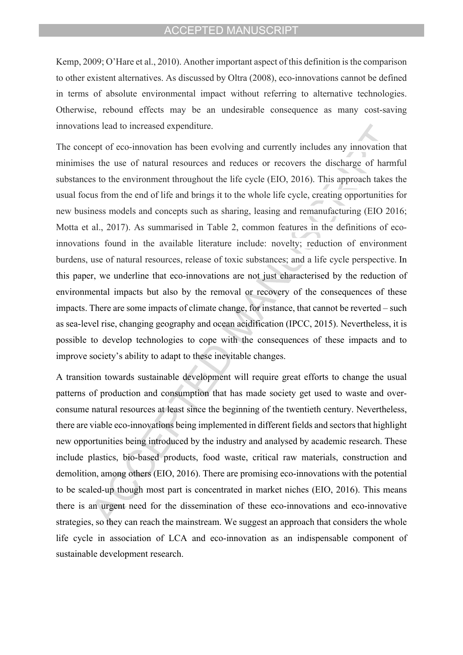Kemp, 2009; O'Hare et al., 2010). Another important aspect of this definition is the comparison to other existent alternatives. As discussed by Oltra (2008), eco-innovations cannot be defined in terms of absolute environmental impact without referring to alternative technologies. Otherwise, rebound effects may be an undesirable consequence as many cost-saving innovations lead to increased expenditure.

The concept of eco-innovation has been evolving and currently includes any innovation that minimises the use of natural resources and reduces or recovers the discharge of harmful substances to the environment throughout the life cycle (EIO, 2016). This approach takes the usual focus from the end of life and brings it to the whole life cycle, creating opportunities for new business models and concepts such as sharing, leasing and remanufacturing (EIO 2016; Motta et al., 2017). As summarised in Table 2, common features in the definitions of ecoinnovations found in the available literature include: novelty; reduction of environment burdens, use of natural resources, release of toxic substances; and a life cycle perspective. In this paper, we underline that eco-innovations are not just characterised by the reduction of environmental impacts but also by the removal or recovery of the consequences of these impacts. There are some impacts of climate change, for instance, that cannot be reverted – such as sea-level rise, changing geography and ocean acidification (IPCC, 2015). Nevertheless, it is possible to develop technologies to cope with the consequences of these impacts and to improve society's ability to adapt to these inevitable changes.

A transition towards sustainable development will require great efforts to change the usual patterns of production and consumption that has made society get used to waste and overconsume natural resources at least since the beginning of the twentieth century. Nevertheless, there are viable eco-innovations being implemented in different fields and sectors that highlight new opportunities being introduced by the industry and analysed by academic research. These include plastics, bio-based products, food waste, critical raw materials, construction and demolition, among others (EIO, 2016). There are promising eco-innovations with the potential to be scaled-up though most part is concentrated in market niches (EIO, 2016). This means there is an urgent need for the dissemination of these eco-innovations and eco-innovative strategies, so they can reach the mainstream. We suggest an approach that considers the whole life cycle in association of LCA and eco-innovation as an indispensable component of sustainable development research.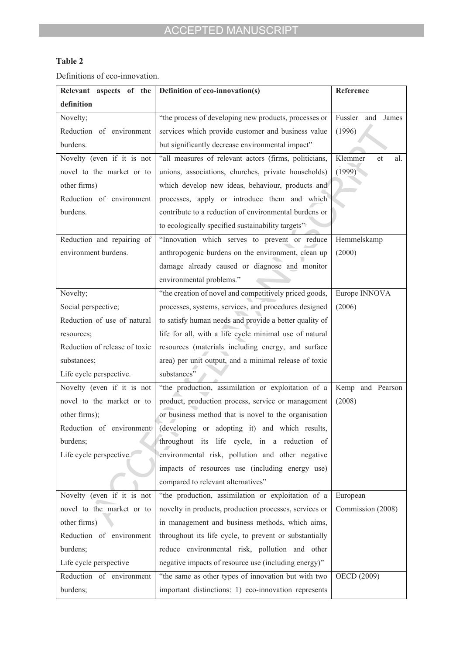# **Table 2**

Definitions of eco-innovation.

| Relevant aspects of the       | Definition of eco-innovation(s)                        | Reference               |
|-------------------------------|--------------------------------------------------------|-------------------------|
| definition                    |                                                        |                         |
| Novelty;                      | "the process of developing new products, processes or  | Fussler<br>and<br>James |
| Reduction of environment      | services which provide customer and business value     | (1996)                  |
| burdens.                      | but significantly decrease environmental impact"       |                         |
| Novelty (even if it is not    | "all measures of relevant actors (firms, politicians,  | Klemmer<br>al.<br>et    |
| novel to the market or to     | unions, associations, churches, private households)    | (1999)                  |
| other firms)                  | which develop new ideas, behaviour, products and       |                         |
| Reduction of environment      | processes, apply or introduce them and which           |                         |
| burdens.                      | contribute to a reduction of environmental burdens or  |                         |
|                               | to ecologically specified sustainability targets"      |                         |
| Reduction and repairing of    | "Innovation which serves to prevent or reduce          | Hemmelskamp             |
| environment burdens.          | anthropogenic burdens on the environment, clean up     | (2000)                  |
|                               | damage already caused or diagnose and monitor          |                         |
|                               | environmental problems."                               |                         |
| Novelty;                      | "the creation of novel and competitively priced goods, | Europe INNOVA           |
| Social perspective;           | processes, systems, services, and procedures designed  | (2006)                  |
| Reduction of use of natural   | to satisfy human needs and provide a better quality of |                         |
| resources;                    | life for all, with a life cycle minimal use of natural |                         |
| Reduction of release of toxic | resources (materials including energy, and surface     |                         |
| substances;                   | area) per unit output, and a minimal release of toxic  |                         |
| Life cycle perspective.       | substances"                                            |                         |
| Novelty (even if it is not    | "the production, assimilation or exploitation of a     | Kemp and Pearson        |
| novel to the market or to     | product, production process, service or management     | (2008)                  |
| other firms);                 | or business method that is novel to the organisation   |                         |
| Reduction of environment      | (developing or adopting it) and which results,         |                         |
| burdens;                      | throughout its life cycle, in a reduction of           |                         |
| Life cycle perspective.       | environmental risk, pollution and other negative       |                         |
|                               | impacts of resources use (including energy use)        |                         |
|                               | compared to relevant alternatives"                     |                         |
| Novelty (even if it is not    | "the production, assimilation or exploitation of a     | European                |
| novel to the market or to     | novelty in products, production processes, services or | Commission (2008)       |
| other firms)                  | in management and business methods, which aims,        |                         |
| Reduction of environment      | throughout its life cycle, to prevent or substantially |                         |
| burdens;                      | reduce environmental risk, pollution and other         |                         |
| Life cycle perspective        | negative impacts of resource use (including energy)"   |                         |
| Reduction of environment      | "the same as other types of innovation but with two    | OECD (2009)             |
| burdens;                      | important distinctions: 1) eco-innovation represents   |                         |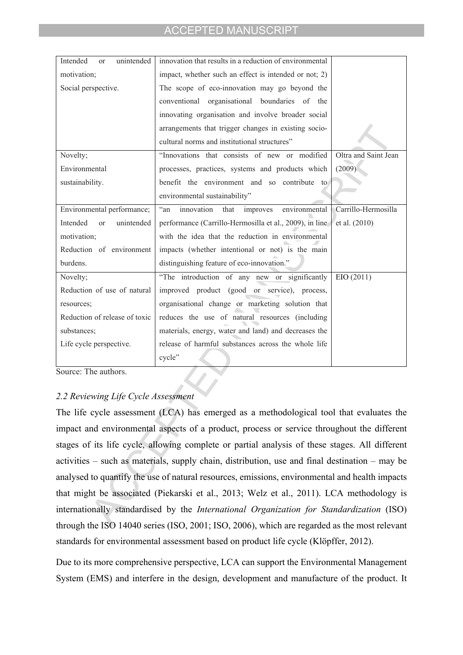| Intended<br>unintended<br><b>or</b>     | innovation that results in a reduction of environmental        |                      |
|-----------------------------------------|----------------------------------------------------------------|----------------------|
| motivation;                             | impact, whether such an effect is intended or not; 2)          |                      |
| Social perspective.                     | The scope of eco-innovation may go beyond the                  |                      |
|                                         | conventional organisational<br>boundaries of the               |                      |
|                                         | innovating organisation and involve broader social             |                      |
|                                         | arrangements that trigger changes in existing socio-           |                      |
|                                         | cultural norms and institutional structures"                   |                      |
| Novelty;                                | "Innovations that consists of new or modified                  | Oltra and Saint Jean |
| Environmental                           | processes, practices, systems and products which               | (2009)               |
| sustainability.                         | benefit the environment and so contribute to                   |                      |
|                                         | environmental sustainability"                                  |                      |
| Environmental performance;              | $\lq\lq$ an<br>innovation<br>improves<br>environmental<br>that | Carrillo-Hermosilla  |
| Intended<br>unintended<br><sub>or</sub> | performance (Carrillo-Hermosilla et al., 2009), in line        | et al. (2010)        |
| motivation;                             | with the idea that the reduction in environmental              |                      |
| Reduction of environment                | impacts (whether intentional or not) is the main               |                      |
| burdens.                                | distinguishing feature of eco-innovation."                     |                      |
| Novelty;                                | "The introduction of any new or significantly                  | EIO(2011)            |
| Reduction of use of natural             | improved product (good or service), process,                   |                      |
| resources;                              | organisational change or marketing solution that               |                      |
| Reduction of release of toxic           | reduces the use of natural resources (including                |                      |
| substances;                             | materials, energy, water and land) and decreases the           |                      |
| Life cycle perspective.                 | release of harmful substances across the whole life            |                      |
|                                         | cycle"                                                         |                      |

Source: The authors.

# *2.2 Reviewing Life Cycle Assessment*

The life cycle assessment (LCA) has emerged as a methodological tool that evaluates the impact and environmental aspects of a product, process or service throughout the different stages of its life cycle, allowing complete or partial analysis of these stages. All different activities  $-$  such as materials, supply chain, distribution, use and final destination  $-$  may be analysed to quantify the use of natural resources, emissions, environmental and health impacts that might be associated (Piekarski et al., 2013; Welz et al., 2011). LCA methodology is internationally standardised by the *International Organization for Standardization* (ISO) through the ISO 14040 series (ISO, 2001; ISO, 2006), which are regarded as the most relevant standards for environmental assessment based on product life cycle (Klöpffer, 2012).

Due to its more comprehensive perspective, LCA can support the Environmental Management System (EMS) and interfere in the design, development and manufacture of the product. It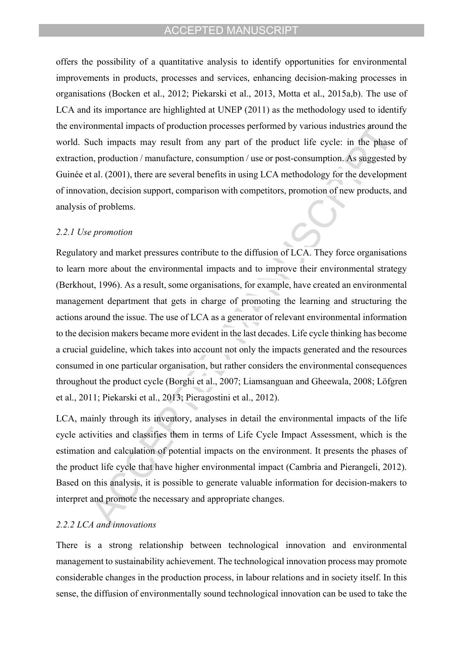offers the possibility of a quantitative analysis to identify opportunities for environmental improvements in products, processes and services, enhancing decision-making processes in organisations (Bocken et al., 2012; Piekarski et al., 2013, Motta et al., 2015a,b). The use of LCA and its importance are highlighted at UNEP (2011) as the methodology used to identify the environmental impacts of production processes performed by various industries around the world. Such impacts may result from any part of the product life cycle: in the phase of extraction, production / manufacture, consumption / use or post-consumption. As suggested by Guinée et al. (2001), there are several benefits in using LCA methodology for the development of innovation, decision support, comparison with competitors, promotion of new products, and analysis of problems.

#### *2.2.1 Use promotion*

Regulatory and market pressures contribute to the diffusion of LCA. They force organisations to learn more about the environmental impacts and to improve their environmental strategy (Berkhout, 1996). As a result, some organisations, for example, have created an environmental management department that gets in charge of promoting the learning and structuring the actions around the issue. The use of LCA as a generator of relevant environmental information to the decision makers became more evident in the last decades. Life cycle thinking has become a crucial guideline, which takes into account not only the impacts generated and the resources consumed in one particular organisation, but rather considers the environmental consequences throughout the product cycle (Borghi et al., 2007; Liamsanguan and Gheewala, 2008; Löfgren et al., 2011; Piekarski et al., 2013; Pieragostini et al., 2012).

LCA, mainly through its inventory, analyses in detail the environmental impacts of the life cycle activities and classifies them in terms of Life Cycle Impact Assessment, which is the estimation and calculation of potential impacts on the environment. It presents the phases of the product life cycle that have higher environmental impact (Cambria and Pierangeli, 2012). Based on this analysis, it is possible to generate valuable information for decision-makers to interpret and promote the necessary and appropriate changes.

# *2.2.2 LCA and innovations*

There is a strong relationship between technological innovation and environmental management to sustainability achievement. The technological innovation process may promote considerable changes in the production process, in labour relations and in society itself. In this sense, the diffusion of environmentally sound technological innovation can be used to take the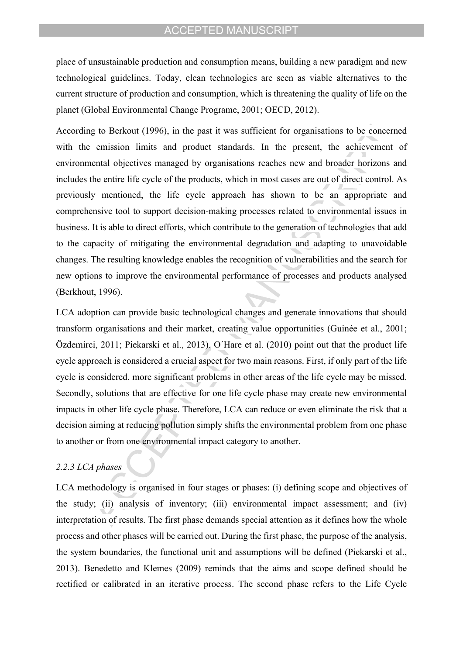place of unsustainable production and consumption means, building a new paradigm and new technological guidelines. Today, clean technologies are seen as viable alternatives to the current structure of production and consumption, which is threatening the quality of life on the planet (Global Environmental Change Programe, 2001; OECD, 2012).

According to Berkout (1996), in the past it was sufficient for organisations to be concerned with the emission limits and product standards. In the present, the achievement of environmental objectives managed by organisations reaches new and broader horizons and includes the entire life cycle of the products, which in most cases are out of direct control. As previously mentioned, the life cycle approach has shown to be an appropriate and comprehensive tool to support decision-making processes related to environmental issues in business. It is able to direct efforts, which contribute to the generation of technologies that add to the capacity of mitigating the environmental degradation and adapting to unavoidable changes. The resulting knowledge enables the recognition of vulnerabilities and the search for new options to improve the environmental performance of processes and products analysed (Berkhout, 1996).

LCA adoption can provide basic technological changes and generate innovations that should transform organisations and their market, creating value opportunities (Guinée et al., 2001; Özdemirci, 2011; Piekarski et al., 2013). O'Hare et al. (2010) point out that the product life cycle approach is considered a crucial aspect for two main reasons. First, if only part of the life cycle is considered, more significant problems in other areas of the life cycle may be missed. Secondly, solutions that are effective for one life cycle phase may create new environmental impacts in other life cycle phase. Therefore, LCA can reduce or even eliminate the risk that a decision aiming at reducing pollution simply shifts the environmental problem from one phase to another or from one environmental impact category to another.

# *2.2.3 LCA phases*

LCA methodology is organised in four stages or phases: (i) defining scope and objectives of the study; (ii) analysis of inventory; (iii) environmental impact assessment; and (iv) interpretation of results. The first phase demands special attention as it defines how the whole process and other phases will be carried out. During the first phase, the purpose of the analysis, the system boundaries, the functional unit and assumptions will be defined (Piekarski et al., 2013). Benedetto and Klemes (2009) reminds that the aims and scope defined should be rectified or calibrated in an iterative process. The second phase refers to the Life Cycle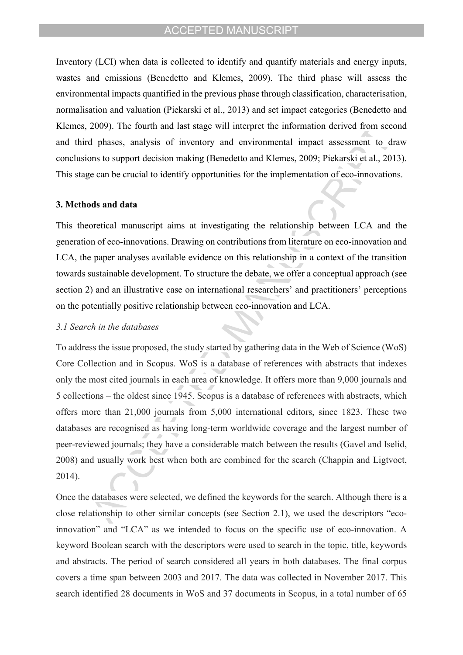Inventory (LCI) when data is collected to identify and quantify materials and energy inputs, wastes and emissions (Benedetto and Klemes, 2009). The third phase will assess the environmental impacts quantified in the previous phase through classification, characterisation, normalisation and valuation (Piekarski et al., 2013) and set impact categories (Benedetto and Klemes, 2009). The fourth and last stage will interpret the information derived from second and third phases, analysis of inventory and environmental impact assessment to draw conclusions to support decision making (Benedetto and Klemes, 2009; Piekarski et al., 2013). This stage can be crucial to identify opportunities for the implementation of eco-innovations.

#### **3. Methods and data**

This theoretical manuscript aims at investigating the relationship between LCA and the generation of eco-innovations. Drawing on contributions from literature on eco-innovation and LCA, the paper analyses available evidence on this relationship in a context of the transition towards sustainable development. To structure the debate, we offer a conceptual approach (see section 2) and an illustrative case on international researchers' and practitioners' perceptions on the potentially positive relationship between eco-innovation and LCA.

#### *3.1 Search in the databases*

To address the issue proposed, the study started by gathering data in the Web of Science (WoS) Core Collection and in Scopus. WoS is a database of references with abstracts that indexes only the most cited journals in each area of knowledge. It offers more than 9,000 journals and 5 collections – the oldest since 1945. Scopus is a database of references with abstracts, which offers more than 21,000 journals from 5,000 international editors, since 1823. These two databases are recognised as having long-term worldwide coverage and the largest number of peer-reviewed journals; they have a considerable match between the results (Gavel and Iselid, 2008) and usually work best when both are combined for the search (Chappin and Ligtvoet, 2014).

Once the databases were selected, we defined the keywords for the search. Although there is a close relationship to other similar concepts (see Section 2.1), we used the descriptors  $\degree$ ecoinnovation" and "LCA" as we intended to focus on the specific use of eco-innovation. A keyword Boolean search with the descriptors were used to search in the topic, title, keywords and abstracts. The period of search considered all years in both databases. The final corpus covers a time span between 2003 and 2017. The data was collected in November 2017. This search identified 28 documents in WoS and 37 documents in Scopus, in a total number of 65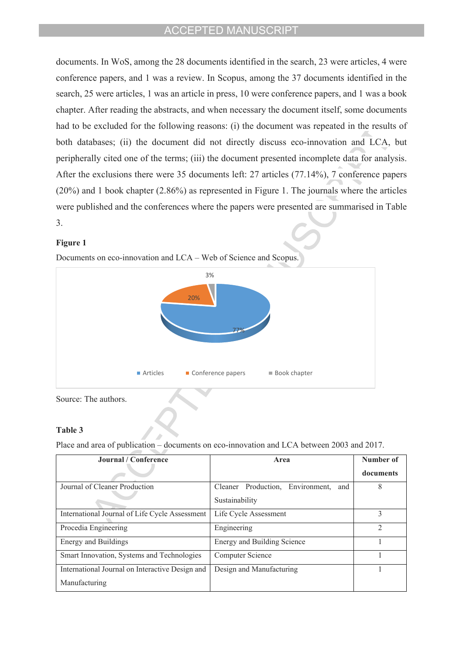documents. In WoS, among the 28 documents identified in the search, 23 were articles, 4 were conference papers, and 1 was a review. In Scopus, among the 37 documents identified in the search, 25 were articles, 1 was an article in press, 10 were conference papers, and 1 was a book chapter. After reading the abstracts, and when necessary the document itself, some documents had to be excluded for the following reasons: (i) the document was repeated in the results of both databases; (ii) the document did not directly discuss eco-innovation and LCA, but peripherally cited one of the terms; (iii) the document presented incomplete data for analysis. After the exclusions there were 35 documents left: 27 articles (77.14%), 7 conference papers (20%) and 1 book chapter (2.86%) as represented in Figure 1. The journals where the articles were published and the conferences where the papers were presented are summarised in Table 3.

#### **Figure 1**

Documents on eco-innovation and LCA – Web of Science and Scopus.



Source: The authors.

#### **Table 3**

Place and area of publication – documents on eco-innovation and LCA between 2003 and 2017.

| Journal / Conference                            | Area                                    | Number of |
|-------------------------------------------------|-----------------------------------------|-----------|
|                                                 |                                         | documents |
| Journal of Cleaner Production                   | Cleaner Production, Environment,<br>and | 8         |
|                                                 | Sustainability                          |           |
| International Journal of Life Cycle Assessment  | Life Cycle Assessment                   |           |
| Procedia Engineering                            | Engineering                             | っ         |
| Energy and Buildings                            | Energy and Building Science             |           |
| Smart Innovation, Systems and Technologies      | Computer Science                        |           |
| International Journal on Interactive Design and | Design and Manufacturing                |           |
| Manufacturing                                   |                                         |           |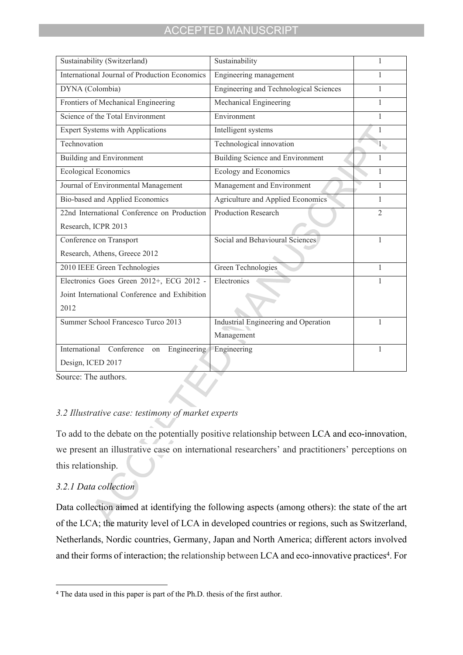| Sustainability (Switzerland)                  | Sustainability                         | 1                                        |
|-----------------------------------------------|----------------------------------------|------------------------------------------|
| International Journal of Production Economics | Engineering management                 |                                          |
| DYNA (Colombia)                               | Engineering and Technological Sciences | 1                                        |
| Frontiers of Mechanical Engineering           | Mechanical Engineering                 | 1                                        |
| Science of the Total Environment              | Environment                            | $\mathbf{1}$                             |
| <b>Expert Systems with Applications</b>       | Intelligent systems                    | 1                                        |
| Technovation                                  | Technological innovation               | $\bar{\mathbf{1}}_{\blacktriangleright}$ |
| <b>Building and Environment</b>               | Building Science and Environment       | 1                                        |
| <b>Ecological Economics</b>                   | Ecology and Economics                  | 1                                        |
| Journal of Environmental Management           | Management and Environment             | 1                                        |
| Bio-based and Applied Economics               | Agriculture and Applied Economics      | 1                                        |
| 22nd International Conference on Production   | <b>Production Research</b>             | $\overline{2}$                           |
| Research, ICPR 2013                           |                                        |                                          |
| Conference on Transport                       | Social and Behavioural Sciences        | 1                                        |
| Research, Athens, Greece 2012                 |                                        |                                          |
| 2010 IEEE Green Technologies                  | Green Technologies                     | 1                                        |
| Electronics Goes Green 2012+, ECG 2012 -      | Electronics                            |                                          |
| Joint International Conference and Exhibition |                                        |                                          |
| 2012                                          |                                        |                                          |
| Summer School Francesco Turco 2013            | Industrial Engineering and Operation   | 1                                        |
|                                               | Management                             |                                          |
| International Conference<br>Engineering<br>on | Engineering                            |                                          |
| Design, ICED 2017                             |                                        |                                          |
|                                               |                                        |                                          |

Source: The authors.

# *3.2 Illustrative case: testimony of market experts*

To add to the debate on the potentially positive relationship between LCA and eco-innovation, we present an illustrative case on international researchers' and practitioners' perceptions on this relationship.

# *3.2.1 Data collection*

Data collection aimed at identifying the following aspects (among others): the state of the art of the LCA; the maturity level of LCA in developed countries or regions, such as Switzerland, Netherlands, Nordic countries, Germany, Japan and North America; different actors involved and their forms of interaction; the relationship between LCA and eco-innovative practices<sup>4</sup>. For

<sup>4</sup> The data used in this paper is part of the Ph.D. thesis of the first author.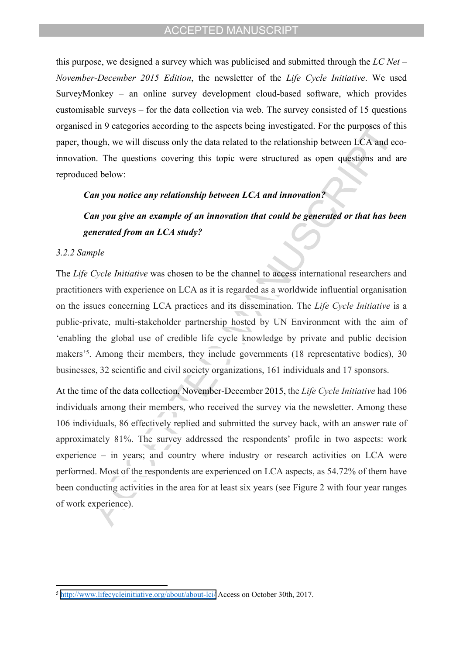this purpose, we designed a survey which was publicised and submitted through the *LC Net*  $-$ *November-December 2015 Edition*, the newsletter of the *Life Cycle Initiative*. We used SurveyMonkey  $-$  an online survey development cloud-based software, which provides customisable surveys  $-$  for the data collection via web. The survey consisted of 15 questions organised in 9 categories according to the aspects being investigated. For the purposes of this paper, though, we will discuss only the data related to the relationship between LCA and ecoinnovation. The questions covering this topic were structured as open questions and are reproduced below:

# *Can you notice any relationship between LCA and innovation?*

# *Can you give an example of an innovation that could be generated or that has been generated from an LCA study?*

#### *3.2.2 Sample*

The *Life Cycle Initiative* was chosen to be the channel to access international researchers and practitioners with experience on LCA as it is regarded as a worldwide influential organisation on the issues concerning LCA practices and its dissemination. The *Life Cycle Initiative* is a public-private, multi-stakeholder partnership hosted by UN Environment with the aim of ëenabling the global use of credible life cycle knowledge by private and public decision makers<sup>35</sup>. Among their members, they include governments (18 representative bodies), 30 businesses, 32 scientific and civil society organizations, 161 individuals and 17 sponsors.

At the time of the data collection, November-December 2015, the *Life Cycle Initiative* had 106 individuals among their members, who received the survey via the newsletter. Among these 106 individuals, 86 effectively replied and submitted the survey back, with an answer rate of approximately 81%. The survey addressed the respondents' profile in two aspects: work experience  $-$  in years; and country where industry or research activities on LCA were performed. Most of the respondents are experienced on LCA aspects, as 54.72% of them have been conducting activities in the area for at least six years (see Figure 2 with four year ranges of work experience).

<sup>5</sup> <http://www.lifecycleinitiative.org/about/about-lci/>Access on October 30th, 2017.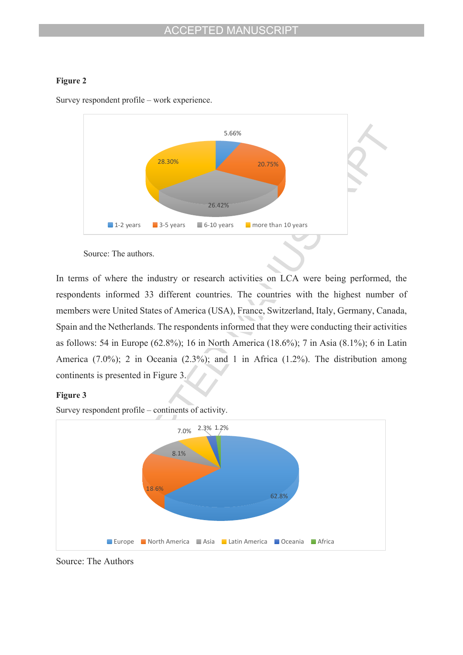### **Figure 2**



Survey respondent profile  $-$  work experience.

Source: The authors.

In terms of where the industry or research activities on LCA were being performed, the respondents informed 33 different countries. The countries with the highest number of members were United States of America (USA), France, Switzerland, Italy, Germany, Canada, Spain and the Netherlands. The respondents informed that they were conducting their activities as follows: 54 in Europe (62.8%); 16 in North America (18.6%); 7 in Asia (8.1%); 6 in Latin America (7.0%); 2 in Oceania (2.3%); and 1 in Africa (1.2%). The distribution among continents is presented in Figure 3.

### **Figure 3**

Survey respondent profile  $-$  continents of activity.



Source: The Authors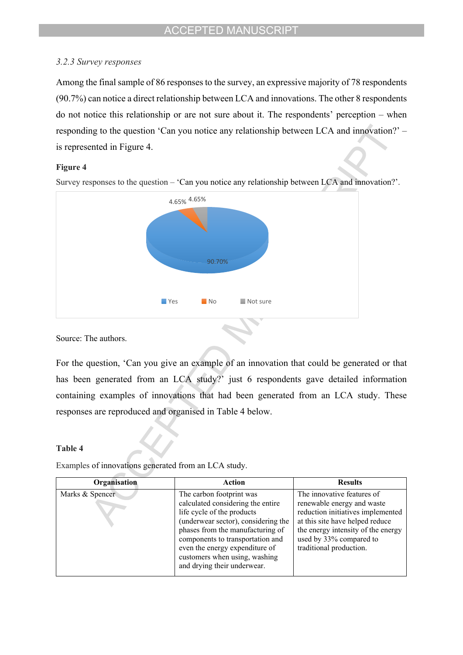# *3.2.3 Survey responses*

Among the final sample of 86 responses to the survey, an expressive majority of 78 respondents (90.7%) can notice a direct relationship between LCA and innovations. The other 8 respondents do not notice this relationship or are not sure about it. The respondents' perception  $-$  when responding to the question 'Can you notice any relationship between LCA and innovation? $\degree$  – is represented in Figure 4.

### **Figure 4**



Survey responses to the question  $-$  'Can you notice any relationship between LCA and innovation?'.

Source: The authors.

For the question, 'Can you give an example of an innovation that could be generated or that has been generated from an LCA study? just 6 respondents gave detailed information containing examples of innovations that had been generated from an LCA study. These responses are reproduced and organised in Table 4 below.

### **Table 4**

Examples of innovations generated from an LCA study.

| Organisation    | Action                                                                                                                                                                                                                                                                                                       | <b>Results</b>                                                                                                                                                                                                               |
|-----------------|--------------------------------------------------------------------------------------------------------------------------------------------------------------------------------------------------------------------------------------------------------------------------------------------------------------|------------------------------------------------------------------------------------------------------------------------------------------------------------------------------------------------------------------------------|
| Marks & Spencer | The carbon footprint was<br>calculated considering the entire<br>life cycle of the products<br>(underwear sector), considering the<br>phases from the manufacturing of<br>components to transportation and<br>even the energy expenditure of<br>customers when using, washing<br>and drying their underwear. | The innovative features of<br>renewable energy and waste<br>reduction initiatives implemented<br>at this site have helped reduce<br>the energy intensity of the energy<br>used by 33% compared to<br>traditional production. |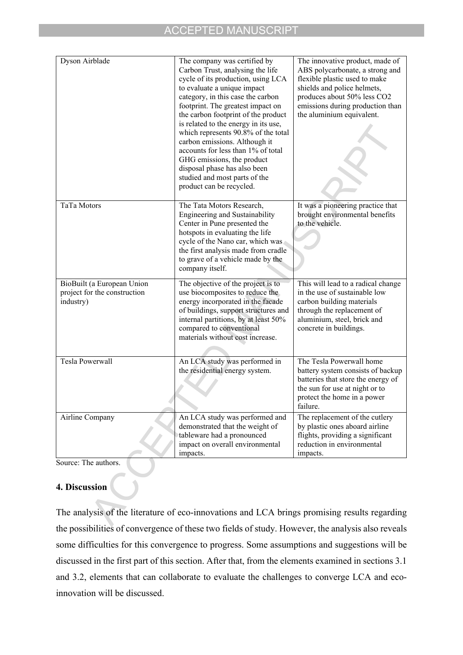| Dyson Airblade                                                          | The company was certified by<br>Carbon Trust, analysing the life<br>cycle of its production, using LCA<br>to evaluate a unique impact<br>category, in this case the carbon<br>footprint. The greatest impact on<br>the carbon footprint of the product<br>is related to the energy in its use,<br>which represents 90.8% of the total<br>carbon emissions. Although it<br>accounts for less than 1% of total<br>GHG emissions, the product<br>disposal phase has also been<br>studied and most parts of the<br>product can be recycled. | The innovative product, made of<br>ABS polycarbonate, a strong and<br>flexible plastic used to make<br>shields and police helmets,<br>produces about 50% less CO2<br>emissions during production than<br>the aluminium equivalent. |
|-------------------------------------------------------------------------|-----------------------------------------------------------------------------------------------------------------------------------------------------------------------------------------------------------------------------------------------------------------------------------------------------------------------------------------------------------------------------------------------------------------------------------------------------------------------------------------------------------------------------------------|------------------------------------------------------------------------------------------------------------------------------------------------------------------------------------------------------------------------------------|
| TaTa Motors                                                             | The Tata Motors Research,<br>Engineering and Sustainability<br>Center in Pune presented the<br>hotspots in evaluating the life<br>cycle of the Nano car, which was<br>the first analysis made from cradle<br>to grave of a vehicle made by the<br>company itself.                                                                                                                                                                                                                                                                       | It was a pioneering practice that<br>brought environmental benefits<br>to the vehicle.                                                                                                                                             |
| BioBuilt (a European Union<br>project for the construction<br>industry) | The objective of the project is to<br>use biocomposites to reduce the<br>energy incorporated in the facade<br>of buildings, support structures and<br>internal partitions, by at least 50%<br>compared to conventional<br>materials without cost increase.                                                                                                                                                                                                                                                                              | This will lead to a radical change<br>in the use of sustainable low<br>carbon building materials<br>through the replacement of<br>aluminium, steel, brick and<br>concrete in buildings.                                            |
| <b>Tesla Powerwall</b>                                                  | An LCA study was performed in<br>the residential energy system.                                                                                                                                                                                                                                                                                                                                                                                                                                                                         | The Tesla Powerwall home<br>battery system consists of backup<br>batteries that store the energy of<br>the sun for use at night or to<br>protect the home in a power<br>failure.                                                   |
| Airline Company                                                         | An LCA study was performed and<br>demonstrated that the weight of<br>tableware had a pronounced<br>impact on overall environmental<br>impacts.                                                                                                                                                                                                                                                                                                                                                                                          | The replacement of the cutlery<br>by plastic ones aboard airline<br>flights, providing a significant<br>reduction in environmental<br>impacts.                                                                                     |

Source: The authors.

# **4. Discussion**

The analysis of the literature of eco-innovations and LCA brings promising results regarding the possibilities of convergence of these two fields of study. However, the analysis also reveals some difficulties for this convergence to progress. Some assumptions and suggestions will be discussed in the first part of this section. After that, from the elements examined in sections 3.1 and 3.2, elements that can collaborate to evaluate the challenges to converge LCA and ecoinnovation will be discussed.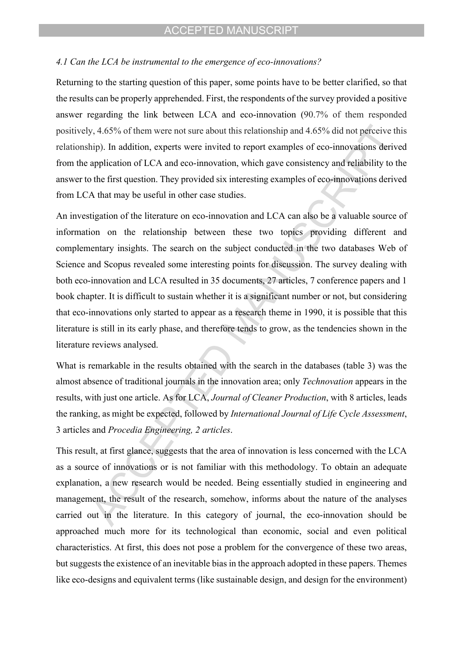### *4.1 Can the LCA be instrumental to the emergence of eco-innovations?*

Returning to the starting question of this paper, some points have to be better clarified, so that the results can be properly apprehended. First, the respondents of the survey provided a positive answer regarding the link between LCA and eco-innovation (90.7% of them responded positively, 4.65% of them were not sure about this relationship and 4.65% did not perceive this relationship). In addition, experts were invited to report examples of eco-innovations derived from the application of LCA and eco-innovation, which gave consistency and reliability to the answer to the first question. They provided six interesting examples of eco-innovations derived from LCA that may be useful in other case studies.

An investigation of the literature on eco-innovation and LCA can also be a valuable source of information on the relationship between these two topics providing different and complementary insights. The search on the subject conducted in the two databases Web of Science and Scopus revealed some interesting points for discussion. The survey dealing with both eco-innovation and LCA resulted in 35 documents, 27 articles, 7 conference papers and 1 book chapter. It is difficult to sustain whether it is a significant number or not, but considering that eco-innovations only started to appear as a research theme in 1990, it is possible that this literature is still in its early phase, and therefore tends to grow, as the tendencies shown in the literature reviews analysed.

What is remarkable in the results obtained with the search in the databases (table 3) was the almost absence of traditional journals in the innovation area; only *Technovation* appears in the results, with just one article. As for LCA, *Journal of Cleaner Production*, with 8 articles, leads the ranking, as might be expected, followed by *International Journal of Life Cycle Assessment*, 3 articles and *Procedia Engineering, 2 articles*.

This result, at first glance, suggests that the area of innovation is less concerned with the LCA as a source of innovations or is not familiar with this methodology. To obtain an adequate explanation, a new research would be needed. Being essentially studied in engineering and management, the result of the research, somehow, informs about the nature of the analyses carried out in the literature. In this category of journal, the eco-innovation should be approached much more for its technological than economic, social and even political characteristics. At first, this does not pose a problem for the convergence of these two areas, but suggests the existence of an inevitable bias in the approach adopted in these papers. Themes like eco-designs and equivalent terms (like sustainable design, and design for the environment)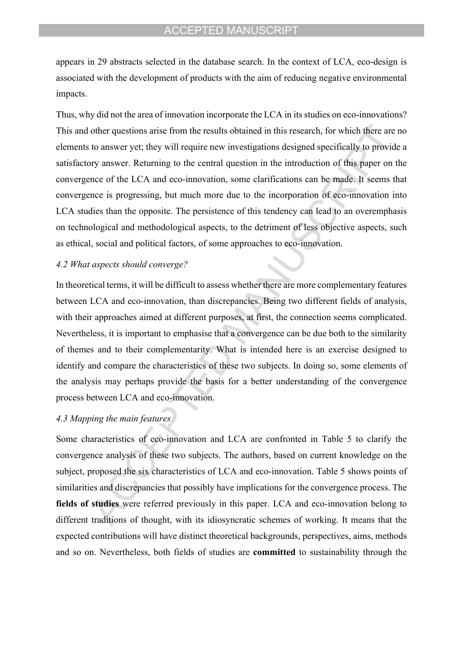appears in 29 abstracts selected in the database search. In the context of LCA, eco-design is associated with the development of products with the aim of reducing negative environmental impacts.

Thus, why did not the area of innovation incorporate the LCA in its studies on eco-innovations? This and other questions arise from the results obtained in this research, for which there are no elements to answer yet; they will require new investigations designed specifically to provide a satisfactory answer. Returning to the central question in the introduction of this paper on the convergence of the LCA and eco-innovation, some clarifications can be made. It seems that convergence is progressing, but much more due to the incorporation of eco-innovation into LCA studies than the opposite. The persistence of this tendency can lead to an overemphasis on technological and methodological aspects, to the detriment of less objective aspects, such as ethical, social and political factors, of some approaches to eco-innovation.

#### *4.2 What aspects should converge?*

In theoretical terms, it will be difficult to assess whether there are more complementary features between LCA and eco-innovation, than discrepancies. Being two different fields of analysis, with their approaches aimed at different purposes, at first, the connection seems complicated. Nevertheless, it is important to emphasise that a convergence can be due both to the similarity of themes and to their complementarity. What is intended here is an exercise designed to identify and compare the characteristics of these two subjects. In doing so, some elements of the analysis may perhaps provide the basis for a better understanding of the convergence process between LCA and eco-innovation.

# *4.3 Mapping the main features*

Some characteristics of eco-innovation and LCA are confronted in Table 5 to clarify the convergence analysis of these two subjects. The authors, based on current knowledge on the subject, proposed the six characteristics of LCA and eco-innovation. Table 5 shows points of similarities and discrepancies that possibly have implications for the convergence process. The **fields of studies** were referred previously in this paper. LCA and eco-innovation belong to different traditions of thought, with its idiosyncratic schemes of working. It means that the expected contributions will have distinct theoretical backgrounds, perspectives, aims, methods and so on. Nevertheless, both fields of studies are **committed** to sustainability through the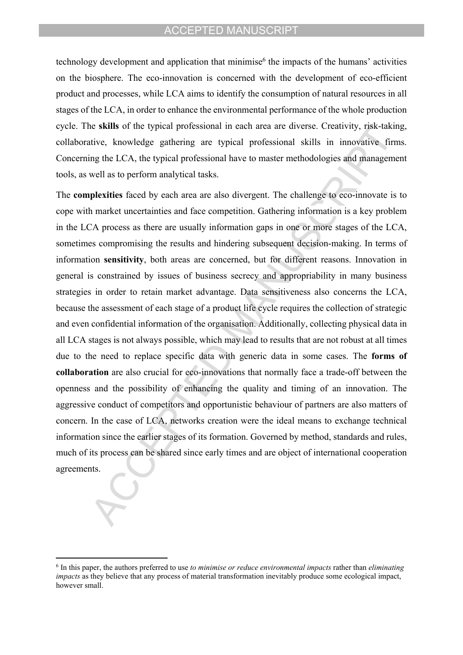technology development and application that minimise<sup>6</sup> the impacts of the humans' activities on the biosphere. The eco-innovation is concerned with the development of eco-efficient product and processes, while LCA aims to identify the consumption of natural resources in all stages of the LCA, in order to enhance the environmental performance of the whole production cycle. The **skills** of the typical professional in each area are diverse. Creativity, risk-taking, collaborative, knowledge gathering are typical professional skills in innovative firms. Concerning the LCA, the typical professional have to master methodologies and management tools, as well as to perform analytical tasks.

The **complexities** faced by each area are also divergent. The challenge to eco-innovate is to cope with market uncertainties and face competition. Gathering information is a key problem in the LCA process as there are usually information gaps in one or more stages of the LCA, sometimes compromising the results and hindering subsequent decision-making. In terms of information **sensitivity**, both areas are concerned, but for different reasons. Innovation in general is constrained by issues of business secrecy and appropriability in many business strategies in order to retain market advantage. Data sensitiveness also concerns the LCA, because the assessment of each stage of a product life cycle requires the collection of strategic and even confidential information of the organisation. Additionally, collecting physical data in all LCA stages is not always possible, which may lead to results that are not robust at all times due to the need to replace specific data with generic data in some cases. The **forms of collaboration** are also crucial for eco-innovations that normally face a trade-off between the openness and the possibility of enhancing the quality and timing of an innovation. The aggressive conduct of competitors and opportunistic behaviour of partners are also matters of concern. In the case of LCA, networks creation were the ideal means to exchange technical information since the earlier stages of its formation. Governed by method, standards and rules, much of its process can be shared since early times and are object of international cooperation agreements.

<sup>6</sup> In this paper, the authors preferred to use *to minimise or reduce environmental impacts* rather than *eliminating impacts* as they believe that any process of material transformation inevitably produce some ecological impact, however small.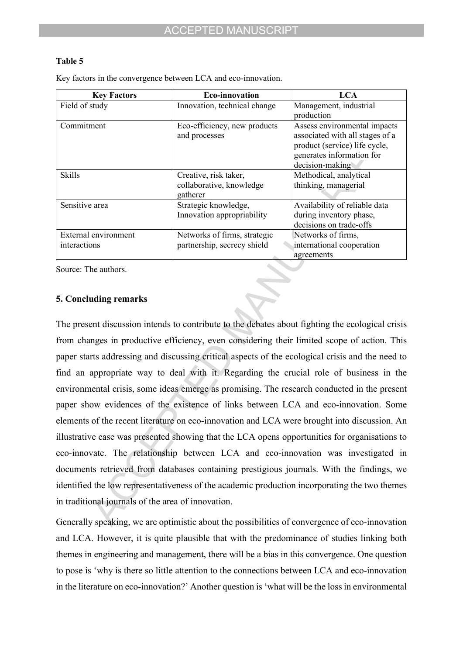### **Table 5**

Key factors in the convergence between LCA and eco-innovation.

| <b>Key Factors</b>   | <b>Eco-innovation</b>        | <b>LCA</b>                      |
|----------------------|------------------------------|---------------------------------|
| Field of study       | Innovation, technical change | Management, industrial          |
|                      |                              | production                      |
| Commitment           | Eco-efficiency, new products | Assess environmental impacts    |
|                      | and processes                | associated with all stages of a |
|                      |                              | product (service) life cycle,   |
|                      |                              | generates information for       |
|                      |                              | decision-making                 |
| <b>Skills</b>        | Creative, risk taker,        | Methodical, analytical          |
|                      | collaborative, knowledge     | thinking, managerial            |
|                      | gatherer                     |                                 |
| Sensitive area       | Strategic knowledge,         | Availability of reliable data   |
|                      | Innovation appropriability   | during inventory phase,         |
|                      |                              | decisions on trade-offs         |
| External environment | Networks of firms, strategic | Networks of firms,              |
| interactions         | partnership, secrecy shield  | international cooperation       |
|                      |                              | agreements                      |

Source: The authors.

# **5. Concluding remarks**

The present discussion intends to contribute to the debates about fighting the ecological crisis from changes in productive efficiency, even considering their limited scope of action. This paper starts addressing and discussing critical aspects of the ecological crisis and the need to find an appropriate way to deal with it. Regarding the crucial role of business in the environmental crisis, some ideas emerge as promising. The research conducted in the present paper show evidences of the existence of links between LCA and eco-innovation. Some elements of the recent literature on eco-innovation and LCA were brought into discussion. An illustrative case was presented showing that the LCA opens opportunities for organisations to eco-innovate. The relationship between LCA and eco-innovation was investigated in documents retrieved from databases containing prestigious journals. With the findings, we identified the low representativeness of the academic production incorporating the two themes in traditional journals of the area of innovation.

Generally speaking, we are optimistic about the possibilities of convergence of eco-innovation and LCA. However, it is quite plausible that with the predominance of studies linking both themes in engineering and management, there will be a bias in this convergence. One question to pose is ëwhy is there so little attention to the connections between LCA and eco-innovation in the literature on eco-innovation? Another question is 'what will be the loss in environmental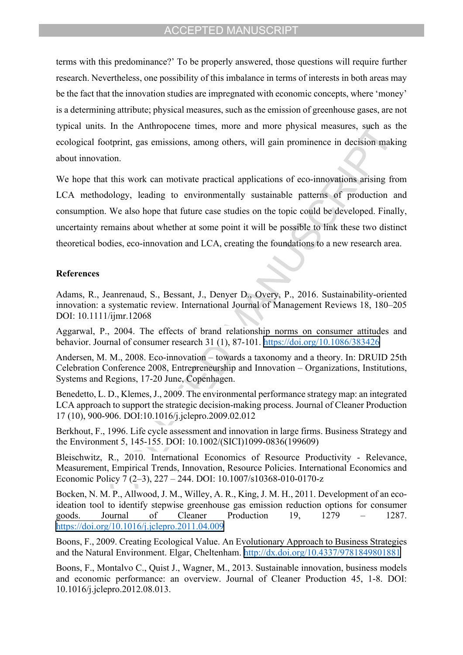terms with this predominance? To be properly answered, those questions will require further research. Nevertheless, one possibility of this imbalance in terms of interests in both areas may be the fact that the innovation studies are impregnated with economic concepts, where 'money' is a determining attribute; physical measures, such as the emission of greenhouse gases, are not typical units. In the Anthropocene times, more and more physical measures, such as the ecological footprint, gas emissions, among others, will gain prominence in decision making about innovation.

We hope that this work can motivate practical applications of eco-innovations arising from LCA methodology, leading to environmentally sustainable patterns of production and consumption. We also hope that future case studies on the topic could be developed. Finally, uncertainty remains about whether at some point it will be possible to link these two distinct theoretical bodies, eco-innovation and LCA, creating the foundations to a new research area.

#### **References**

Adams, R., Jeanrenaud, S., Bessant, J., Denyer D., Overy, P., 2016. Sustainability-oriented innovation: a systematic review. International Journal of Management Reviews 18, 180–205 DOI: 10.1111/ijmr.12068

Aggarwal, P., 2004. The effects of brand relationship norms on consumer attitudes and behavior. Journal of consumer research 31 (1), 87-101. <https://doi.org/10.1086/383426>

Andersen, M. M., 2008. Eco-innovation – towards a taxonomy and a theory. In: DRUID 25th Celebration Conference 2008, Entrepreneurship and Innovation – Organizations, Institutions, Systems and Regions, 17-20 June, Copenhagen.

Benedetto, L. D., Klemes, J., 2009. The environmental performance strategy map: an integrated LCA approach to support the strategic decision-making process. Journal of Cleaner Production 17 (10), 900-906. DOI:10.1016/j.jclepro.2009.02.012

Berkhout, F., 1996. Life cycle assessment and innovation in large firms. Business Strategy and the Environment 5, 145-155. DOI: 10.1002/(SICI)1099-0836(199609)

Bleischwitz, R., 2010. International Economics of Resource Productivity - Relevance, Measurement, Empirical Trends, Innovation, Resource Policies. International Economics and Economic Policy 7 (2–3), 227 – 244. DOI: 10.1007/s10368-010-0170-z

Bocken, N. M. P., Allwood, J. M., Willey, A. R., King, J. M. H., 2011. Development of an ecoideation tool to identify stepwise greenhouse gas emission reduction options for consumer goods. Journal of Cleaner Production  $19$ ,  $1279$  –  $1287$ . <https://doi.org/10.1016/j.jclepro.2011.04.009>

Boons, F., 2009. Creating Ecological Value. An Evolutionary Approach to Business Strategies and the Natural Environment. Elgar, Cheltenham. <http://dx.doi.org/10.4337/9781849801881>

Boons, F., Montalvo C., Quist J., Wagner, M., 2013. Sustainable innovation, business models and economic performance: an overview. Journal of Cleaner Production 45, 1-8. DOI: 10.1016/j.jclepro.2012.08.013.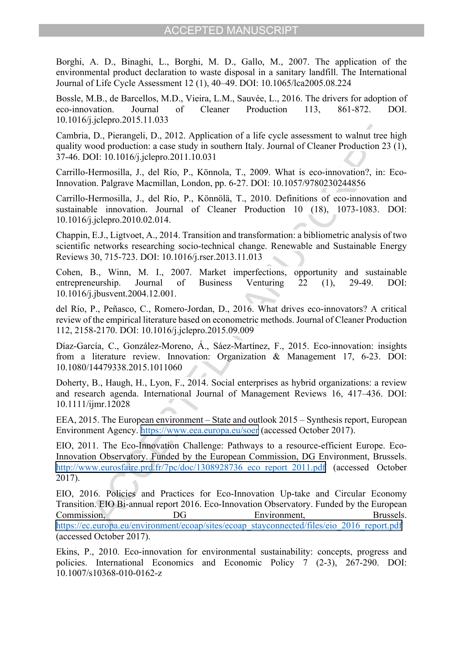Borghi, A. D., Binaghi, L., Borghi, M. D., Gallo, M., 2007. The application of the environmental product declaration to waste disposal in a sanitary landfill. The International Journal of Life Cycle Assessment 12 (1), 40–49. DOI: 10.1065/lca2005.08.224

Bossle, M.B., de Barcellos, M.D., Vieira, L.M., Sauvée, L., 2016. The drivers for adoption of eco-innovation. Journal of Cleaner Production 113, 861-872. DOI. 10.1016/j.jclepro.2015.11.033

Cambria, D., Pierangeli, D., 2012. Application of a life cycle assessment to walnut tree high quality wood production: a case study in southern Italy. Journal of Cleaner Production 23 (1), 37-46. DOI: 10.1016/j.jclepro.2011.10.031

Carrillo-Hermosilla, J., del Río, P., Könnola, T., 2009. What is eco-innovation?, in: Eco-Innovation. Palgrave Macmillan, London, pp. 6-27. DOI: 10.1057/9780230244856

Carrillo-Hermosilla, J., del Río, P., Könnölä, T., 2010. Definitions of eco-innovation and sustainable innovation. Journal of Cleaner Production 10 (18), 1073-1083. DOI: 10.1016/j.jclepro.2010.02.014.

Chappin, E.J., Ligtvoet, A., 2014. Transition and transformation: a bibliometric analysis of two scientific networks researching socio-technical change. Renewable and Sustainable Energy Reviews 30, 715-723. DOI: 10.1016/j.rser.2013.11.013

Cohen, B., Winn, M. I., 2007. Market imperfections, opportunity and sustainable entrepreneurship. Journal of Business Venturing 22 (1), 29-49. DOI: 10.1016/j.jbusvent.2004.12.001.

del Río, P., Peñasco, C., Romero-Jordan, D., 2016. What drives eco-innovators? A critical review of the empirical literature based on econometric methods. Journal of Cleaner Production 112, 2158-2170. DOI: 10.1016/j.jclepro.2015.09.009

Díaz-García, C., González-Moreno, Á., Sáez-Martínez, F., 2015. Eco-innovation: insights from a literature review. Innovation: Organization & Management 17, 6-23. DOI: 10.1080/14479338.2015.1011060

Doherty, B., Haugh, H., Lyon, F., 2014. Social enterprises as hybrid organizations: a review and research agenda. International Journal of Management Reviews 16, 417–436. DOI: 10.1111/ijmr.12028

EEA, 2015. The European environment  $-$  State and outlook 2015  $-$  Synthesis report, European Environment Agency. <https://www.eea.europa.eu/soer>(accessed October 2017).

EIO, 2011. The Eco-Innovation Challenge: Pathways to a resource-efficient Europe. Eco-Innovation Observatory. Funded by the European Commission, DG Environment, Brussels. http://www.eurosfaire.prd.fr/7pc/doc/1308928736 eco\_report\_2011.pdf (accessed October 2017).

EIO, 2016. Policies and Practices for Eco-Innovation Up-take and Circular Economy Transition. EIO Bi-annual report 2016. Eco-Innovation Observatory. Funded by the European Commission, DG Environment, Brussels. [https://ec.europa.eu/environment/ecoap/sites/ecoap\\_stayconnected/files/eio\\_2016\\_report.pdf](https://ec.europa.eu/environment/ecoap/sites/ecoap_stayconnected/files/eio_2016_report.pdf) (accessed October 2017).

Ekins, P., 2010. Eco-innovation for environmental sustainability: concepts, progress and policies. International Economics and Economic Policy 7 (2-3), 267-290. DOI: 10.1007/s10368-010-0162-z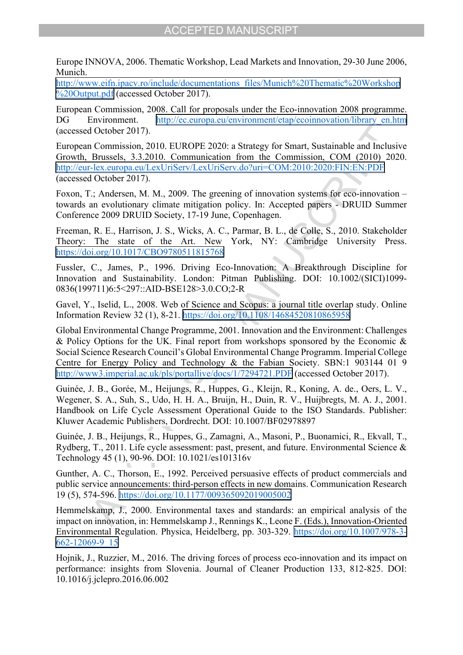Europe INNOVA, 2006. Thematic Workshop, Lead Markets and Innovation, 29-30 June 2006, Munich.

[http://www.eifn.ipacv.ro/include/documentations\\_files/Munich%20Thematic%20Workshop](http://www.eifn.ipacv.ro/include/documentations_files/Munich%20Thematic%20Workshop%20Output.pdf) [%20Output.pdf](http://www.eifn.ipacv.ro/include/documentations_files/Munich%20Thematic%20Workshop%20Output.pdf) (accessed October 2017).

European Commission, 2008. Call for proposals under the Eco-innovation 2008 programme. DG Environment. [http://ec.europa.eu/environment/etap/ecoinnovation/library\\_en.htm](http://ec.europa.eu/environment/etap/ecoinnovation/library_en.htm) (accessed October 2017).

European Commission, 2010. EUROPE 2020: a Strategy for Smart, Sustainable and Inclusive Growth, Brussels, 3.3.2010. Communication from the Commission, COM (2010) 2020. <http://eur-lex.europa.eu/LexUriServ/LexUriServ.do?uri=COM:2010:2020:FIN:EN:PDF> (accessed October 2017).

Foxon, T.: Andersen, M. M., 2009. The greening of innovation systems for eco-innovation  $$ towards an evolutionary climate mitigation policy. In: Accepted papers - DRUID Summer Conference 2009 DRUID Society, 17-19 June, Copenhagen.

Freeman, R. E., Harrison, J. S., Wicks, A. C., Parmar, B. L., de Colle, S., 2010. Stakeholder Theory: The state of the Art. New York, NY: Cambridge University Press. <https://doi.org/10.1017/CBO9780511815768>

Fussler, C., James, P., 1996. Driving Eco-Innovation: A Breakthrough Discipline for Innovation and Sustainability. London: Pitman Publishing. DOI: 10.1002/(SICI)1099- 0836(199711)6:5<297::AID-BSE128>3.0.CO;2-R

Gavel, Y., Iselid, L., 2008. Web of Science and Scopus: a journal title overlap study. Online Information Review 32 (1), 8-21. <https://doi.org/10.1108/14684520810865958>

Global Environmental Change Programme, 2001. Innovation and the Environment: Challenges  $\&$  Policy Options for the UK. Final report from workshops sponsored by the Economic  $\&$ Social Science Research Councilís Global Environmental Change Programm. Imperial College Centre for Energy Policy and Technology & the Fabian Society. SBN:1 903144 01 9 <http://www3.imperial.ac.uk/pls/portallive/docs/1/7294721.PDF>(accessed October 2017).

Guinée, J. B., Gorée, M., Heijungs, R., Huppes, G., Kleijn, R., Koning, A. de., Oers, L. V., Wegener, S. A., Suh, S., Udo, H. H. A., Bruijn, H., Duin, R. V., Huijbregts, M. A. J., 2001. Handbook on Life Cycle Assessment Operational Guide to the ISO Standards. Publisher: Kluwer Academic Publishers, Dordrecht. DOI: 10.1007/BF02978897

Guinée, J. B., Heijungs, R., Huppes, G., Zamagni, A., Masoni, P., Buonamici, R., Ekvall, T., Rydberg, T., 2011. Life cycle assessment: past, present, and future. Environmental Science  $\&$ Technology 45 (1), 90-96. DOI: 10.1021/es101316v

Gunther, A. C., Thorson, E., 1992. Perceived persuasive effects of product commercials and public service announcements: third-person effects in new domains. Communication Research 19 (5), 574-596. <https://doi.org/10.1177/009365092019005002>

Hemmelskamp, J., 2000. Environmental taxes and standards: an empirical analysis of the impact on innovation, in: Hemmelskamp J., Rennings K., Leone F. (Eds.), Innovation-Oriented Environmental Regulation. Physica, Heidelberg, pp. 303-329. [https://doi.org/10.1007/978-3-](https://doi.org/10.1007/978-3-662-12069-9_15) [662-12069-9\\_15](https://doi.org/10.1007/978-3-662-12069-9_15)

Hojnik, J., Ruzzier, M., 2016. The driving forces of process eco-innovation and its impact on performance: insights from Slovenia. Journal of Cleaner Production 133, 812-825. DOI: 10.1016/j.jclepro.2016.06.002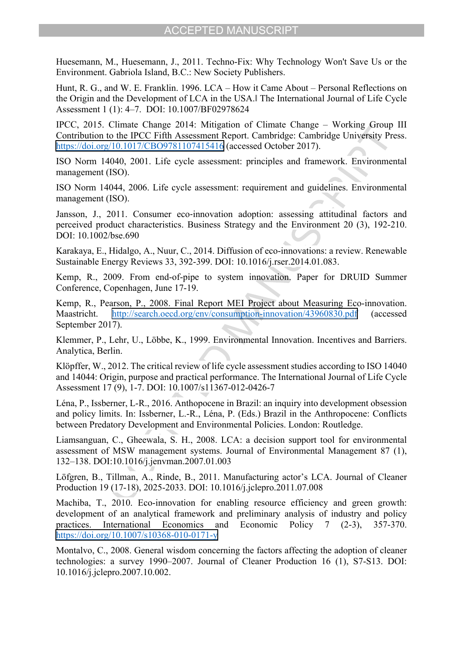Huesemann, M., Huesemann, J., 2011. Techno-Fix: Why Technology Won't Save Us or the Environment. Gabriola Island, B.C.: New Society Publishers.

Hunt, R. G., and W. E. Franklin. 1996. LCA – How it Came About – Personal Reflections on the Origin and the Development of LCA in the USA.‖ The International Journal of Life Cycle Assessment 1 (1): 4–7. DOI: 10.1007/BF02978624

IPCC, 2015. Climate Change 2014: Mitigation of Climate Change – Working Group III Contribution to the IPCC Fifth Assessment Report. Cambridge: Cambridge University Press. <https://doi.org/10.1017/CBO9781107415416> (accessed October 2017).

ISO Norm 14040, 2001. Life cycle assessment: principles and framework. Environmental management (ISO).

ISO Norm 14044, 2006. Life cycle assessment: requirement and guidelines. Environmental management (ISO).

Jansson, J., 2011. Consumer eco-innovation adoption: assessing attitudinal factors and perceived product characteristics. Business Strategy and the Environment 20 (3), 192-210. DOI: 10.1002/bse.690

Karakaya, E., Hidalgo, A., Nuur, C., 2014. Diffusion of eco-innovations: a review. Renewable Sustainable Energy Reviews 33, 392-399. DOI: 10.1016/j.rser.2014.01.083.

Kemp, R., 2009. From end-of-pipe to system innovation. Paper for DRUID Summer Conference, Copenhagen, June 17-19.

Kemp, R., Pearson, P., 2008. Final Report MEI Project about Measuring Eco-innovation. Maastricht. <http://search.oecd.org/env/consumption-innovation/43960830.pdf>(accessed September 2017).

Klemmer, P., Lehr, U., Löbbe, K., 1999. Environmental Innovation. Incentives and Barriers. Analytica, Berlin.

Klöpffer, W., 2012. The critical review of life cycle assessment studies according to ISO 14040 and 14044: Origin, purpose and practical performance. The International Journal of Life Cycle Assessment 17 (9), 1-7. DOI: 10.1007/s11367-012-0426-7

LÈna, P., Issberner, L-R., 2016. Anthopocene in Brazil: an inquiry into development obsession and policy limits. In: Issberner, L.-R., Léna, P. (Eds.) Brazil in the Anthropocene: Conflicts between Predatory Development and Environmental Policies. London: Routledge.

Liamsanguan, C., Gheewala, S. H., 2008. LCA: a decision support tool for environmental assessment of MSW management systems. Journal of Environmental Management 87 (1), 132–138. DOI:10.1016/j.jenvman.2007.01.003

Löfgren, B., Tillman, A., Rinde, B., 2011. Manufacturing actor's LCA. Journal of Cleaner Production 19 (17-18), 2025-2033. DOI: 10.1016/j.jclepro.2011.07.008

Machiba, T., 2010. Eco-innovation for enabling resource efficiency and green growth: development of an analytical framework and preliminary analysis of industry and policy practices. International Economics and Economic Policy 7 (2-3), 357-370. <https://doi.org/10.1007/s10368-010-0171-y>

Montalvo, C., 2008. General wisdom concerning the factors affecting the adoption of cleaner technologies: a survey  $1990-2007$ . Journal of Cleaner Production 16 (1), S7-S13. DOI: 10.1016/j.jclepro.2007.10.002.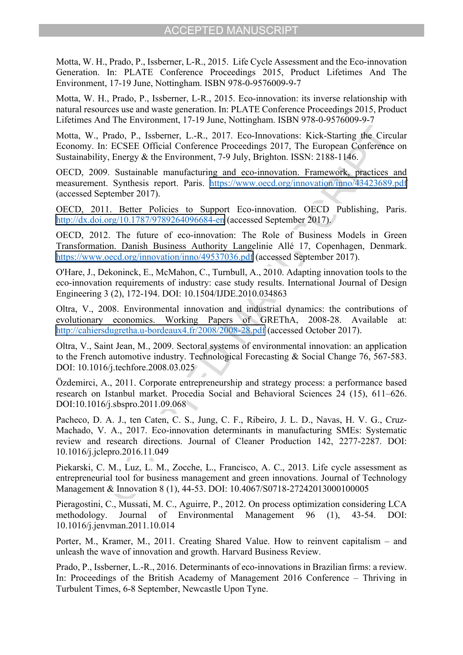Motta, W. H., Prado, P., Issberner, L-R., 2015. Life Cycle Assessment and the Eco-innovation Generation. In: PLATE Conference Proceedings 2015, Product Lifetimes And The Environment, 17-19 June, Nottingham. ISBN 978-0-9576009-9-7

Motta, W. H., Prado, P., Issberner, L-R., 2015. Eco-innovation: its inverse relationship with natural resources use and waste generation. In: PLATE Conference Proceedings 2015, Product Lifetimes And The Environment, 17-19 June, Nottingham. ISBN 978-0-9576009-9-7

Motta, W., Prado, P., Issberner, L.-R., 2017. Eco-Innovations: Kick-Starting the Circular Economy. In: ECSEE Official Conference Proceedings 2017, The European Conference on Sustainability, Energy & the Environment, 7-9 July, Brighton. ISSN: 2188-1146.

OECD, 2009. Sustainable manufacturing and eco-innovation. Framework, practices and measurement. Synthesis report. Paris. <https://www.oecd.org/innovation/inno/43423689.pdf> (accessed September 2017).

OECD, 2011. Better Policies to Support Eco-innovation. OECD Publishing, Paris. <http://dx.doi.org/10.1787/9789264096684-en>(accessed September 2017).

OECD, 2012. The future of eco-innovation: The Role of Business Models in Green Transformation. Danish Business Authority Langelinie AllÈ 17, Copenhagen, Denmark. <https://www.oecd.org/innovation/inno/49537036.pdf>(accessed September 2017).

O'Hare, J., Dekoninck, E., McMahon, C., Turnbull, A., 2010. Adapting innovation tools to the eco-innovation requirements of industry: case study results. International Journal of Design Engineering 3 (2), 172-194. DOI: 10.1504/IJDE.2010.034863

Oltra, V., 2008. Environmental innovation and industrial dynamics: the contributions of evolutionary economics. Working Papers of GREThA, 2008-28. Available at: <http://cahiersdugretha.u-bordeaux4.fr/2008/2008-28.pdf>(accessed October 2017).

Oltra, V., Saint Jean, M., 2009. Sectoral systems of environmental innovation: an application to the French automotive industry. Technological Forecasting & Social Change 76, 567-583. DOI: 10.1016/j.techfore.2008.03.025

Özdemirci, A., 2011. Corporate entrepreneurship and strategy process: a performance based research on Istanbul market. Procedia Social and Behavioral Sciences 24 (15), 611–626. DOI:10.1016/j.sbspro.2011.09.068

Pacheco, D. A. J., ten Caten, C. S., Jung, C. F., Ribeiro, J. L. D., Navas, H. V. G., Cruz-Machado, V. A., 2017. Eco-innovation determinants in manufacturing SMEs: Systematic review and research directions. Journal of Cleaner Production 142, 2277-2287. DOI: 10.1016/j.jclepro.2016.11.049

Piekarski, C. M., Luz, L. M., Zocche, L., Francisco, A. C., 2013. Life cycle assessment as entrepreneurial tool for business management and green innovations. Journal of Technology Management & Innovation 8 (1), 44-53. DOI: 10.4067/S0718-27242013000100005

Pieragostini, C., Mussati, M. C., Aguirre, P., 2012. On process optimization considering LCA methodology. Journal of Environmental Management 96 (1), 43-54. DOI: 10.1016/j.jenvman.2011.10.014

Porter, M., Kramer, M., 2011. Creating Shared Value. How to reinvent capitalism  $-$  and unleash the wave of innovation and growth. Harvard Business Review.

Prado, P., Issberner, L.-R., 2016. Determinants of eco-innovations in Brazilian firms: a review. In: Proceedings of the British Academy of Management 2016 Conference – Thriving in Turbulent Times, 6-8 September, Newcastle Upon Tyne.